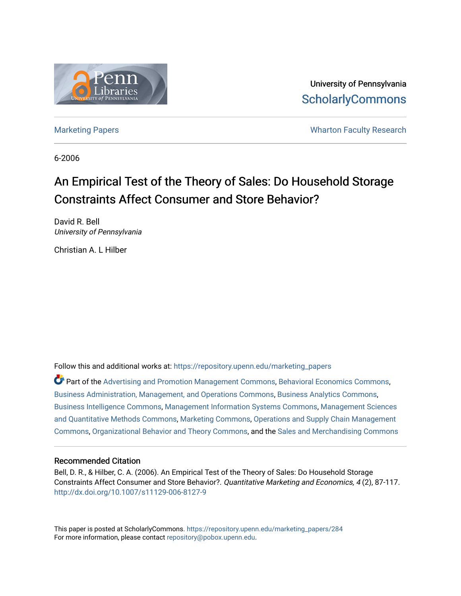

University of Pennsylvania **ScholarlyCommons** 

[Marketing Papers](https://repository.upenn.edu/marketing_papers) **Marketing Papers Marketing Papers Wharton Faculty Research** 

6-2006

# An Empirical Test of the Theory of Sales: Do Household Storage Constraints Affect Consumer and Store Behavior?

David R. Bell University of Pennsylvania

Christian A. L Hilber

Follow this and additional works at: [https://repository.upenn.edu/marketing\\_papers](https://repository.upenn.edu/marketing_papers?utm_source=repository.upenn.edu%2Fmarketing_papers%2F284&utm_medium=PDF&utm_campaign=PDFCoverPages)

Part of the [Advertising and Promotion Management Commons,](http://network.bepress.com/hgg/discipline/626?utm_source=repository.upenn.edu%2Fmarketing_papers%2F284&utm_medium=PDF&utm_campaign=PDFCoverPages) [Behavioral Economics Commons,](http://network.bepress.com/hgg/discipline/341?utm_source=repository.upenn.edu%2Fmarketing_papers%2F284&utm_medium=PDF&utm_campaign=PDFCoverPages) [Business Administration, Management, and Operations Commons](http://network.bepress.com/hgg/discipline/623?utm_source=repository.upenn.edu%2Fmarketing_papers%2F284&utm_medium=PDF&utm_campaign=PDFCoverPages), [Business Analytics Commons,](http://network.bepress.com/hgg/discipline/1398?utm_source=repository.upenn.edu%2Fmarketing_papers%2F284&utm_medium=PDF&utm_campaign=PDFCoverPages) [Business Intelligence Commons,](http://network.bepress.com/hgg/discipline/1326?utm_source=repository.upenn.edu%2Fmarketing_papers%2F284&utm_medium=PDF&utm_campaign=PDFCoverPages) [Management Information Systems Commons,](http://network.bepress.com/hgg/discipline/636?utm_source=repository.upenn.edu%2Fmarketing_papers%2F284&utm_medium=PDF&utm_campaign=PDFCoverPages) [Management Sciences](http://network.bepress.com/hgg/discipline/637?utm_source=repository.upenn.edu%2Fmarketing_papers%2F284&utm_medium=PDF&utm_campaign=PDFCoverPages)  [and Quantitative Methods Commons,](http://network.bepress.com/hgg/discipline/637?utm_source=repository.upenn.edu%2Fmarketing_papers%2F284&utm_medium=PDF&utm_campaign=PDFCoverPages) [Marketing Commons,](http://network.bepress.com/hgg/discipline/638?utm_source=repository.upenn.edu%2Fmarketing_papers%2F284&utm_medium=PDF&utm_campaign=PDFCoverPages) [Operations and Supply Chain Management](http://network.bepress.com/hgg/discipline/1229?utm_source=repository.upenn.edu%2Fmarketing_papers%2F284&utm_medium=PDF&utm_campaign=PDFCoverPages) [Commons](http://network.bepress.com/hgg/discipline/1229?utm_source=repository.upenn.edu%2Fmarketing_papers%2F284&utm_medium=PDF&utm_campaign=PDFCoverPages), [Organizational Behavior and Theory Commons,](http://network.bepress.com/hgg/discipline/639?utm_source=repository.upenn.edu%2Fmarketing_papers%2F284&utm_medium=PDF&utm_campaign=PDFCoverPages) and the [Sales and Merchandising Commons](http://network.bepress.com/hgg/discipline/646?utm_source=repository.upenn.edu%2Fmarketing_papers%2F284&utm_medium=PDF&utm_campaign=PDFCoverPages)

#### Recommended Citation

Bell, D. R., & Hilber, C. A. (2006). An Empirical Test of the Theory of Sales: Do Household Storage Constraints Affect Consumer and Store Behavior?. Quantitative Marketing and Economics, 4 (2), 87-117. <http://dx.doi.org/10.1007/s11129-006-8127-9>

This paper is posted at ScholarlyCommons. [https://repository.upenn.edu/marketing\\_papers/284](https://repository.upenn.edu/marketing_papers/284)  For more information, please contact [repository@pobox.upenn.edu.](mailto:repository@pobox.upenn.edu)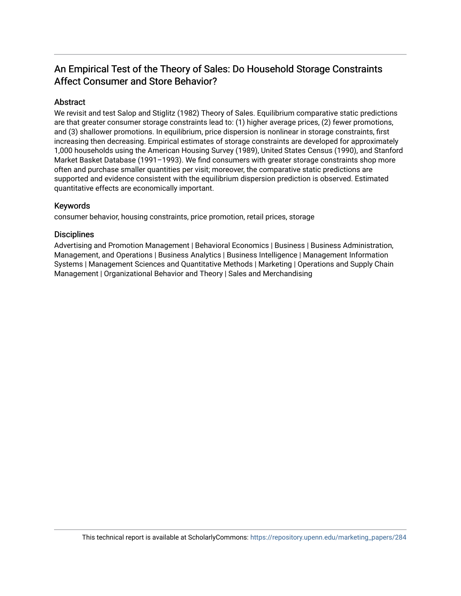# An Empirical Test of the Theory of Sales: Do Household Storage Constraints Affect Consumer and Store Behavior?

### Abstract

We revisit and test Salop and Stiglitz (1982) Theory of Sales. Equilibrium comparative static predictions are that greater consumer storage constraints lead to: (1) higher average prices, (2) fewer promotions, and (3) shallower promotions. In equilibrium, price dispersion is nonlinear in storage constraints, first increasing then decreasing. Empirical estimates of storage constraints are developed for approximately 1,000 households using the American Housing Survey (1989), United States Census (1990), and Stanford Market Basket Database (1991–1993). We find consumers with greater storage constraints shop more often and purchase smaller quantities per visit; moreover, the comparative static predictions are supported and evidence consistent with the equilibrium dispersion prediction is observed. Estimated quantitative effects are economically important.

### Keywords

consumer behavior, housing constraints, price promotion, retail prices, storage

### **Disciplines**

Advertising and Promotion Management | Behavioral Economics | Business | Business Administration, Management, and Operations | Business Analytics | Business Intelligence | Management Information Systems | Management Sciences and Quantitative Methods | Marketing | Operations and Supply Chain Management | Organizational Behavior and Theory | Sales and Merchandising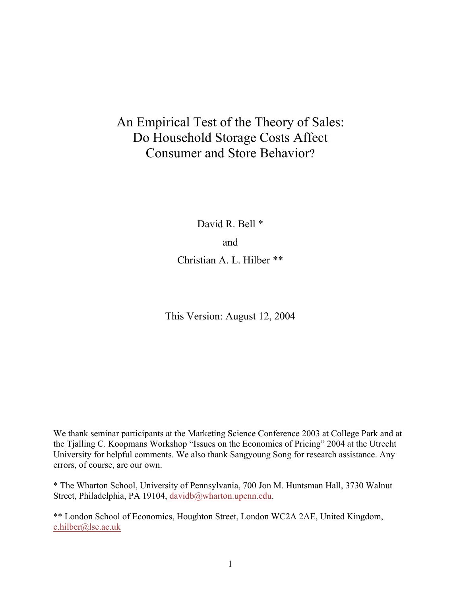# An Empirical Test of the Theory of Sales: Do Household Storage Costs Affect Consumer and Store Behavior?

David R. Bell \* and Christian A. L. Hilber \*\*

This Version: August 12, 2004

We thank seminar participants at the Marketing Science Conference 2003 at College Park and at the Tjalling C. Koopmans Workshop "Issues on the Economics of Pricing" 2004 at the Utrecht University for helpful comments. We also thank Sangyoung Song for research assistance. Any errors, of course, are our own.

\* The Wharton School, University of Pennsylvania, 700 Jon M. Huntsman Hall, 3730 Walnut Street, Philadelphia, PA 19104, davidb@wharton.upenn.edu.

\*\* London School of Economics, Houghton Street, London WC2A 2AE, United Kingdom, c.hilber@lse.ac.uk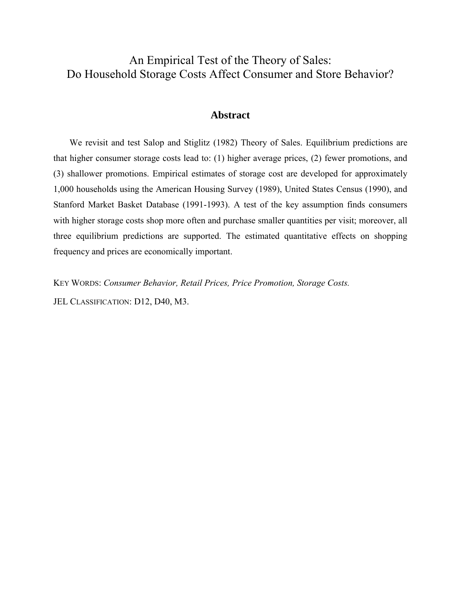# An Empirical Test of the Theory of Sales: Do Household Storage Costs Affect Consumer and Store Behavior?

### **Abstract**

We revisit and test Salop and Stiglitz (1982) Theory of Sales. Equilibrium predictions are that higher consumer storage costs lead to: (1) higher average prices, (2) fewer promotions, and (3) shallower promotions. Empirical estimates of storage cost are developed for approximately 1,000 households using the American Housing Survey (1989), United States Census (1990), and Stanford Market Basket Database (1991-1993). A test of the key assumption finds consumers with higher storage costs shop more often and purchase smaller quantities per visit; moreover, all three equilibrium predictions are supported. The estimated quantitative effects on shopping frequency and prices are economically important.

KEY WORDS: *Consumer Behavior, Retail Prices, Price Promotion, Storage Costs.* JEL CLASSIFICATION: D12, D40, M3.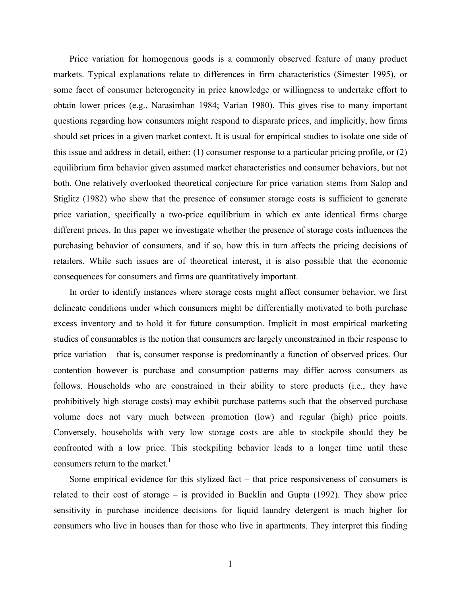Price variation for homogenous goods is a commonly observed feature of many product markets. Typical explanations relate to differences in firm characteristics (Simester 1995), or some facet of consumer heterogeneity in price knowledge or willingness to undertake effort to obtain lower prices (e.g., Narasimhan 1984; Varian 1980). This gives rise to many important questions regarding how consumers might respond to disparate prices, and implicitly, how firms should set prices in a given market context. It is usual for empirical studies to isolate one side of this issue and address in detail, either: (1) consumer response to a particular pricing profile, or (2) equilibrium firm behavior given assumed market characteristics and consumer behaviors, but not both. One relatively overlooked theoretical conjecture for price variation stems from Salop and Stiglitz (1982) who show that the presence of consumer storage costs is sufficient to generate price variation, specifically a two-price equilibrium in which ex ante identical firms charge different prices. In this paper we investigate whether the presence of storage costs influences the purchasing behavior of consumers, and if so, how this in turn affects the pricing decisions of retailers. While such issues are of theoretical interest, it is also possible that the economic consequences for consumers and firms are quantitatively important.

In order to identify instances where storage costs might affect consumer behavior, we first delineate conditions under which consumers might be differentially motivated to both purchase excess inventory and to hold it for future consumption. Implicit in most empirical marketing studies of consumables is the notion that consumers are largely unconstrained in their response to price variation – that is, consumer response is predominantly a function of observed prices. Our contention however is purchase and consumption patterns may differ across consumers as follows. Households who are constrained in their ability to store products (i.e., they have prohibitively high storage costs) may exhibit purchase patterns such that the observed purchase volume does not vary much between promotion (low) and regular (high) price points. Conversely, households with very low storage costs are able to stockpile should they be confronted with a low price. This stockpiling behavior leads to a longer time until these consumers return to the market.<sup>1</sup>

Some empirical evidence for this stylized fact – that price responsiveness of consumers is related to their cost of storage – is provided in Bucklin and Gupta (1992). They show price sensitivity in purchase incidence decisions for liquid laundry detergent is much higher for consumers who live in houses than for those who live in apartments. They interpret this finding

1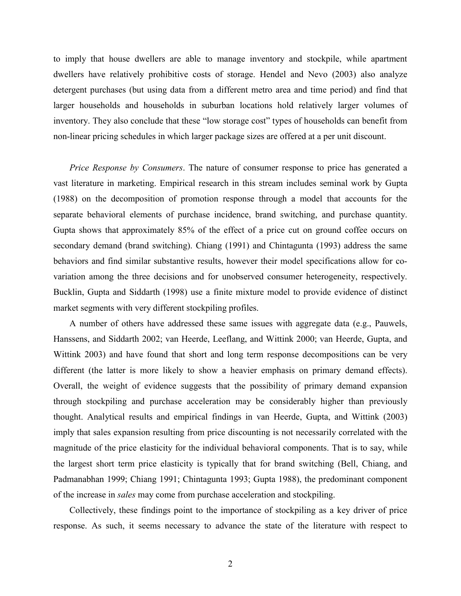to imply that house dwellers are able to manage inventory and stockpile, while apartment dwellers have relatively prohibitive costs of storage. Hendel and Nevo (2003) also analyze detergent purchases (but using data from a different metro area and time period) and find that larger households and households in suburban locations hold relatively larger volumes of inventory. They also conclude that these "low storage cost" types of households can benefit from non-linear pricing schedules in which larger package sizes are offered at a per unit discount.

*Price Response by Consumers*. The nature of consumer response to price has generated a vast literature in marketing. Empirical research in this stream includes seminal work by Gupta (1988) on the decomposition of promotion response through a model that accounts for the separate behavioral elements of purchase incidence, brand switching, and purchase quantity. Gupta shows that approximately 85% of the effect of a price cut on ground coffee occurs on secondary demand (brand switching). Chiang (1991) and Chintagunta (1993) address the same behaviors and find similar substantive results, however their model specifications allow for covariation among the three decisions and for unobserved consumer heterogeneity, respectively. Bucklin, Gupta and Siddarth (1998) use a finite mixture model to provide evidence of distinct market segments with very different stockpiling profiles.

A number of others have addressed these same issues with aggregate data (e.g., Pauwels, Hanssens, and Siddarth 2002; van Heerde, Leeflang, and Wittink 2000; van Heerde, Gupta, and Wittink 2003) and have found that short and long term response decompositions can be very different (the latter is more likely to show a heavier emphasis on primary demand effects). Overall, the weight of evidence suggests that the possibility of primary demand expansion through stockpiling and purchase acceleration may be considerably higher than previously thought. Analytical results and empirical findings in van Heerde, Gupta, and Wittink (2003) imply that sales expansion resulting from price discounting is not necessarily correlated with the magnitude of the price elasticity for the individual behavioral components. That is to say, while the largest short term price elasticity is typically that for brand switching (Bell, Chiang, and Padmanabhan 1999; Chiang 1991; Chintagunta 1993; Gupta 1988), the predominant component of the increase in *sales* may come from purchase acceleration and stockpiling.

Collectively, these findings point to the importance of stockpiling as a key driver of price response. As such, it seems necessary to advance the state of the literature with respect to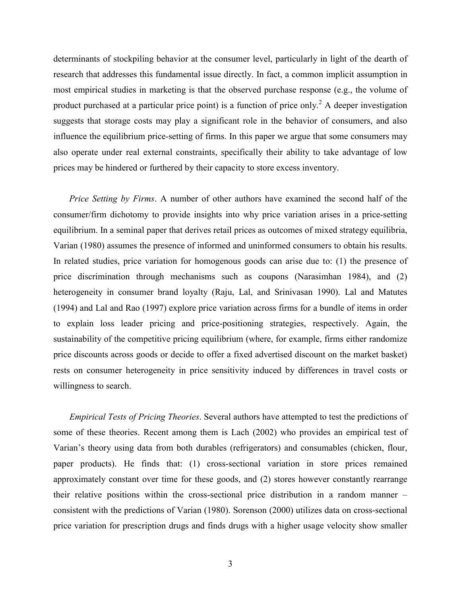determinants of stockpiling behavior at the consumer level, particularly in light of the dearth of research that addresses this fundamental issue directly. In fact, a common implicit assumption in most empirical studies in marketing is that the observed purchase response (e.g., the volume of product purchased at a particular price point) is a function of price only.<sup>2</sup> A deeper investigation suggests that storage costs may play a significant role in the behavior of consumers, and also influence the equilibrium price-setting of firms. In this paper we argue that some consumers may also operate under real external constraints, specifically their ability to take advantage of low prices may be hindered or furthered by their capacity to store excess inventory.

 *Price Setting by Firms*. A number of other authors have examined the second half of the consumer/firm dichotomy to provide insights into why price variation arises in a price-setting equilibrium. In a seminal paper that derives retail prices as outcomes of mixed strategy equilibria, Varian (1980) assumes the presence of informed and uninformed consumers to obtain his results. In related studies, price variation for homogenous goods can arise due to: (1) the presence of price discrimination through mechanisms such as coupons (Narasimhan 1984), and (2) heterogeneity in consumer brand loyalty (Raju, Lal, and Srinivasan 1990). Lal and Matutes (1994) and Lal and Rao (1997) explore price variation across firms for a bundle of items in order to explain loss leader pricing and price-positioning strategies, respectively. Again, the sustainability of the competitive pricing equilibrium (where, for example, firms either randomize price discounts across goods or decide to offer a fixed advertised discount on the market basket) rests on consumer heterogeneity in price sensitivity induced by differences in travel costs or willingness to search.

*Empirical Tests of Pricing Theories*. Several authors have attempted to test the predictions of some of these theories. Recent among them is Lach (2002) who provides an empirical test of Varian's theory using data from both durables (refrigerators) and consumables (chicken, flour, paper products). He finds that: (1) cross-sectional variation in store prices remained approximately constant over time for these goods, and (2) stores however constantly rearrange their relative positions within the cross-sectional price distribution in a random manner – consistent with the predictions of Varian (1980). Sorenson (2000) utilizes data on cross-sectional price variation for prescription drugs and finds drugs with a higher usage velocity show smaller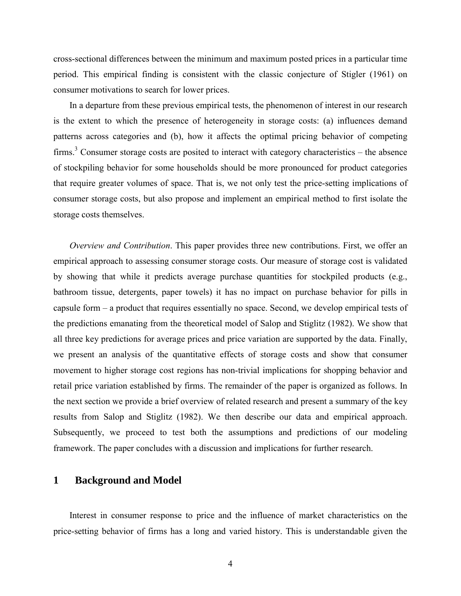cross-sectional differences between the minimum and maximum posted prices in a particular time period. This empirical finding is consistent with the classic conjecture of Stigler (1961) on consumer motivations to search for lower prices.

In a departure from these previous empirical tests, the phenomenon of interest in our research is the extent to which the presence of heterogeneity in storage costs: (a) influences demand patterns across categories and (b), how it affects the optimal pricing behavior of competing firms.<sup>3</sup> Consumer storage costs are posited to interact with category characteristics – the absence of stockpiling behavior for some households should be more pronounced for product categories that require greater volumes of space. That is, we not only test the price-setting implications of consumer storage costs, but also propose and implement an empirical method to first isolate the storage costs themselves.

*Overview and Contribution*. This paper provides three new contributions. First, we offer an empirical approach to assessing consumer storage costs. Our measure of storage cost is validated by showing that while it predicts average purchase quantities for stockpiled products (e.g., bathroom tissue, detergents, paper towels) it has no impact on purchase behavior for pills in capsule form – a product that requires essentially no space. Second, we develop empirical tests of the predictions emanating from the theoretical model of Salop and Stiglitz (1982). We show that all three key predictions for average prices and price variation are supported by the data. Finally, we present an analysis of the quantitative effects of storage costs and show that consumer movement to higher storage cost regions has non-trivial implications for shopping behavior and retail price variation established by firms. The remainder of the paper is organized as follows. In the next section we provide a brief overview of related research and present a summary of the key results from Salop and Stiglitz (1982). We then describe our data and empirical approach. Subsequently, we proceed to test both the assumptions and predictions of our modeling framework. The paper concludes with a discussion and implications for further research.

### **1 Background and Model**

Interest in consumer response to price and the influence of market characteristics on the price-setting behavior of firms has a long and varied history. This is understandable given the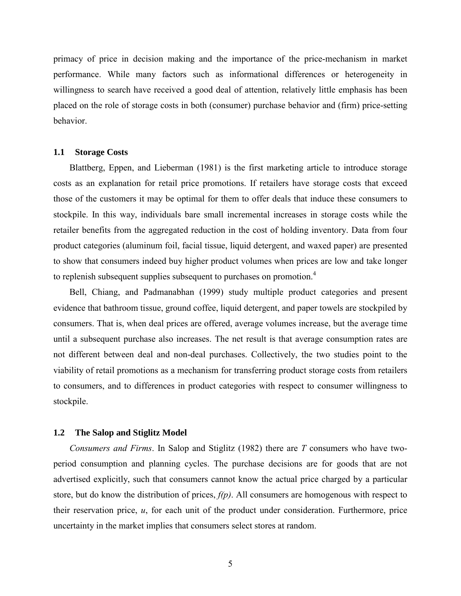primacy of price in decision making and the importance of the price-mechanism in market performance. While many factors such as informational differences or heterogeneity in willingness to search have received a good deal of attention, relatively little emphasis has been placed on the role of storage costs in both (consumer) purchase behavior and (firm) price-setting behavior.

#### **1.1 Storage Costs**

Blattberg, Eppen, and Lieberman (1981) is the first marketing article to introduce storage costs as an explanation for retail price promotions. If retailers have storage costs that exceed those of the customers it may be optimal for them to offer deals that induce these consumers to stockpile. In this way, individuals bare small incremental increases in storage costs while the retailer benefits from the aggregated reduction in the cost of holding inventory. Data from four product categories (aluminum foil, facial tissue, liquid detergent, and waxed paper) are presented to show that consumers indeed buy higher product volumes when prices are low and take longer to replenish subsequent supplies subsequent to purchases on promotion.<sup>4</sup>

Bell, Chiang, and Padmanabhan (1999) study multiple product categories and present evidence that bathroom tissue, ground coffee, liquid detergent, and paper towels are stockpiled by consumers. That is, when deal prices are offered, average volumes increase, but the average time until a subsequent purchase also increases. The net result is that average consumption rates are not different between deal and non-deal purchases. Collectively, the two studies point to the viability of retail promotions as a mechanism for transferring product storage costs from retailers to consumers, and to differences in product categories with respect to consumer willingness to stockpile.

#### **1.2 The Salop and Stiglitz Model**

*Consumers and Firms*. In Salop and Stiglitz (1982) there are *T* consumers who have twoperiod consumption and planning cycles. The purchase decisions are for goods that are not advertised explicitly, such that consumers cannot know the actual price charged by a particular store, but do know the distribution of prices, *f(p)*. All consumers are homogenous with respect to their reservation price, *u*, for each unit of the product under consideration. Furthermore, price uncertainty in the market implies that consumers select stores at random.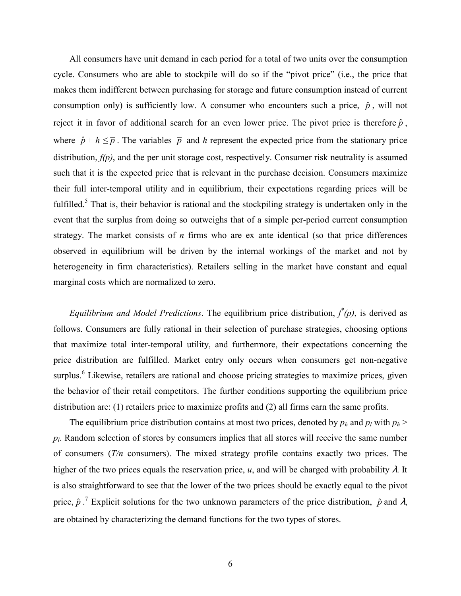All consumers have unit demand in each period for a total of two units over the consumption cycle. Consumers who are able to stockpile will do so if the "pivot price" (i.e., the price that makes them indifferent between purchasing for storage and future consumption instead of current consumption only) is sufficiently low. A consumer who encounters such a price,  $\hat{p}$ , will not reject it in favor of additional search for an even lower price. The pivot price is therefore  $\hat{p}$ , where  $\hat{p} + h \leq \overline{p}$ . The variables  $\overline{p}$  and *h* represent the expected price from the stationary price distribution,  $f(p)$ , and the per unit storage cost, respectively. Consumer risk neutrality is assumed such that it is the expected price that is relevant in the purchase decision. Consumers maximize their full inter-temporal utility and in equilibrium, their expectations regarding prices will be fulfilled.<sup>5</sup> That is, their behavior is rational and the stockpiling strategy is undertaken only in the event that the surplus from doing so outweighs that of a simple per-period current consumption strategy. The market consists of *n* firms who are ex ante identical (so that price differences observed in equilibrium will be driven by the internal workings of the market and not by heterogeneity in firm characteristics). Retailers selling in the market have constant and equal marginal costs which are normalized to zero.

*Equilibrium and Model Predictions.* The equilibrium price distribution,  $f(p)$ , is derived as follows. Consumers are fully rational in their selection of purchase strategies, choosing options that maximize total inter-temporal utility, and furthermore, their expectations concerning the price distribution are fulfilled. Market entry only occurs when consumers get non-negative surplus.<sup>6</sup> Likewise, retailers are rational and choose pricing strategies to maximize prices, given the behavior of their retail competitors. The further conditions supporting the equilibrium price distribution are: (1) retailers price to maximize profits and (2) all firms earn the same profits.

The equilibrium price distribution contains at most two prices, denoted by  $p_h$  and  $p_l$  with  $p_h$  > *pl*. Random selection of stores by consumers implies that all stores will receive the same number of consumers (*T/n* consumers). The mixed strategy profile contains exactly two prices. The higher of the two prices equals the reservation price,  $u$ , and will be charged with probability  $\lambda$ . It is also straightforward to see that the lower of the two prices should be exactly equal to the pivot price,  $\hat{p}$ <sup>7</sup> Explicit solutions for the two unknown parameters of the price distribution,  $\hat{p}$  and  $\lambda$ , are obtained by characterizing the demand functions for the two types of stores.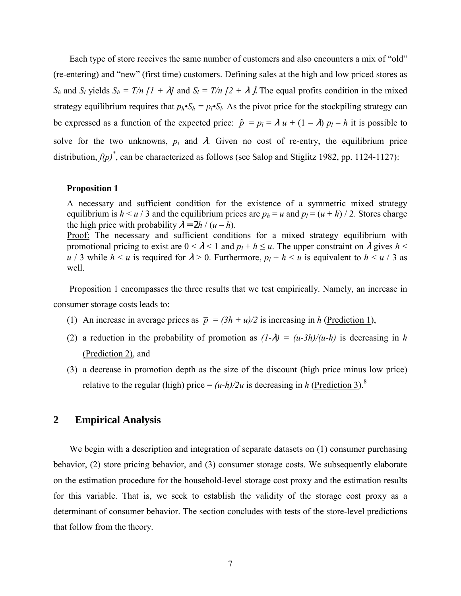Each type of store receives the same number of customers and also encounters a mix of "old" (re-entering) and "new" (first time) customers. Defining sales at the high and low priced stores as *S<sub>h</sub>* and *S<sub>l</sub>* yields *S<sub>h</sub>* = *T/n*  $\int I + \lambda J$  and *S<sub>l</sub>* = *T/n*  $\int 2 + \lambda J$ . The equal profits condition in the mixed strategy equilibrium requires that  $p_h \cdot S_h = p_l \cdot S_l$ . As the pivot price for the stockpiling strategy can be expressed as a function of the expected price:  $\hat{p} = p_l = \lambda u + (1 - \lambda) p_l - h$  it is possible to solve for the two unknowns,  $p_l$  and  $\lambda$ . Given no cost of re-entry, the equilibrium price distribution, *f(p)\** , can be characterized as follows (see Salop and Stiglitz 1982, pp. 1124-1127):

#### **Proposition 1**

A necessary and sufficient condition for the existence of a symmetric mixed strategy equilibrium is  $h \le u/3$  and the equilibrium prices are  $p_h = u$  and  $p_l = (u + h)/2$ . Stores charge the high price with probability  $\lambda = 2h / (u - h)$ .

Proof: The necessary and sufficient conditions for a mixed strategy equilibrium with promotional pricing to exist are  $0 < \lambda < 1$  and  $p_l + h \le u$ . The upper constraint on  $\lambda$  gives  $h <$ *u* / 3 while  $h \le u$  is required for  $\lambda > 0$ . Furthermore,  $p_l + h \le u$  is equivalent to  $h \le u / 3$  as well.

Proposition 1 encompasses the three results that we test empirically. Namely, an increase in consumer storage costs leads to:

- (1) An increase in average prices as  $\bar{p} = (3h + u)/2$  is increasing in *h* (Prediction 1),
- (2) a reduction in the probability of promotion as  $(1-\lambda) = (u-3h)/(u-h)$  is decreasing in *h* (Prediction 2), and
- (3) a decrease in promotion depth as the size of the discount (high price minus low price) relative to the regular (high) price  $=$   $(u-h)/2u$  is decreasing in *h* (Prediction 3).<sup>8</sup>

### **2 Empirical Analysis**

We begin with a description and integration of separate datasets on (1) consumer purchasing behavior, (2) store pricing behavior, and (3) consumer storage costs. We subsequently elaborate on the estimation procedure for the household-level storage cost proxy and the estimation results for this variable. That is, we seek to establish the validity of the storage cost proxy as a determinant of consumer behavior. The section concludes with tests of the store-level predictions that follow from the theory.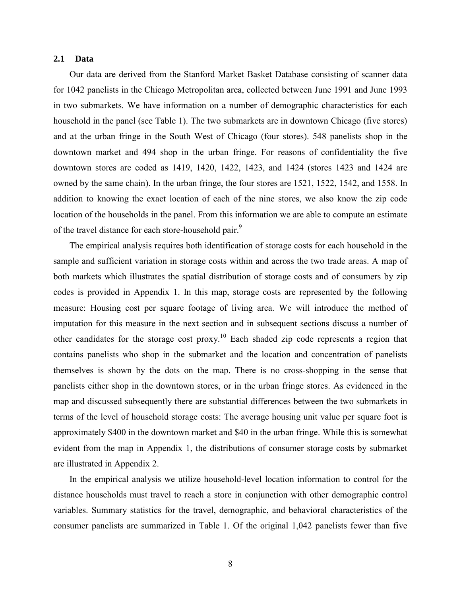#### **2.1 Data**

Our data are derived from the Stanford Market Basket Database consisting of scanner data for 1042 panelists in the Chicago Metropolitan area, collected between June 1991 and June 1993 in two submarkets. We have information on a number of demographic characteristics for each household in the panel (see Table 1). The two submarkets are in downtown Chicago (five stores) and at the urban fringe in the South West of Chicago (four stores). 548 panelists shop in the downtown market and 494 shop in the urban fringe. For reasons of confidentiality the five downtown stores are coded as 1419, 1420, 1422, 1423, and 1424 (stores 1423 and 1424 are owned by the same chain). In the urban fringe, the four stores are 1521, 1522, 1542, and 1558. In addition to knowing the exact location of each of the nine stores, we also know the zip code location of the households in the panel. From this information we are able to compute an estimate of the travel distance for each store-household pair.<sup>9</sup>

The empirical analysis requires both identification of storage costs for each household in the sample and sufficient variation in storage costs within and across the two trade areas. A map of both markets which illustrates the spatial distribution of storage costs and of consumers by zip codes is provided in Appendix 1. In this map, storage costs are represented by the following measure: Housing cost per square footage of living area. We will introduce the method of imputation for this measure in the next section and in subsequent sections discuss a number of other candidates for the storage cost proxy.<sup>10</sup> Each shaded zip code represents a region that contains panelists who shop in the submarket and the location and concentration of panelists themselves is shown by the dots on the map. There is no cross-shopping in the sense that panelists either shop in the downtown stores, or in the urban fringe stores. As evidenced in the map and discussed subsequently there are substantial differences between the two submarkets in terms of the level of household storage costs: The average housing unit value per square foot is approximately \$400 in the downtown market and \$40 in the urban fringe. While this is somewhat evident from the map in Appendix 1, the distributions of consumer storage costs by submarket are illustrated in Appendix 2.

In the empirical analysis we utilize household-level location information to control for the distance households must travel to reach a store in conjunction with other demographic control variables. Summary statistics for the travel, demographic, and behavioral characteristics of the consumer panelists are summarized in Table 1. Of the original 1,042 panelists fewer than five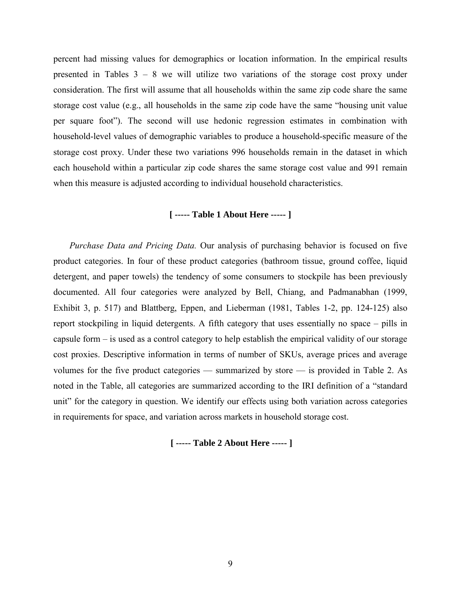percent had missing values for demographics or location information. In the empirical results presented in Tables  $3 - 8$  we will utilize two variations of the storage cost proxy under consideration. The first will assume that all households within the same zip code share the same storage cost value (e.g., all households in the same zip code have the same "housing unit value per square foot"). The second will use hedonic regression estimates in combination with household-level values of demographic variables to produce a household-specific measure of the storage cost proxy. Under these two variations 996 households remain in the dataset in which each household within a particular zip code shares the same storage cost value and 991 remain when this measure is adjusted according to individual household characteristics.

### **[ ----- Table 1 About Here ----- ]**

*Purchase Data and Pricing Data.* Our analysis of purchasing behavior is focused on five product categories. In four of these product categories (bathroom tissue, ground coffee, liquid detergent, and paper towels) the tendency of some consumers to stockpile has been previously documented. All four categories were analyzed by Bell, Chiang, and Padmanabhan (1999, Exhibit 3, p. 517) and Blattberg, Eppen, and Lieberman (1981, Tables 1-2, pp. 124-125) also report stockpiling in liquid detergents. A fifth category that uses essentially no space – pills in capsule form – is used as a control category to help establish the empirical validity of our storage cost proxies. Descriptive information in terms of number of SKUs, average prices and average volumes for the five product categories — summarized by store — is provided in Table 2. As noted in the Table, all categories are summarized according to the IRI definition of a "standard unit" for the category in question. We identify our effects using both variation across categories in requirements for space, and variation across markets in household storage cost.

 **[ ----- Table 2 About Here ----- ]**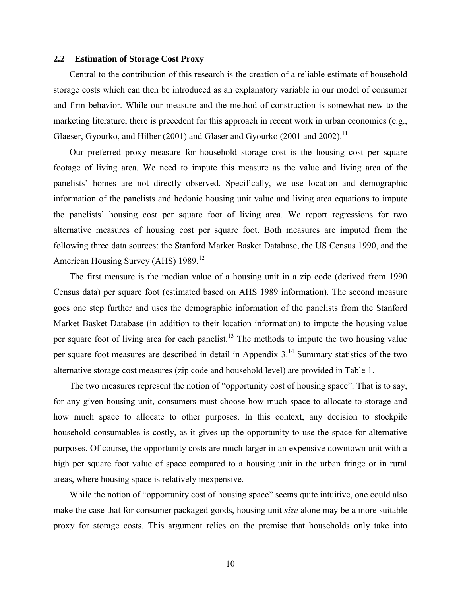#### **2.2 Estimation of Storage Cost Proxy**

Central to the contribution of this research is the creation of a reliable estimate of household storage costs which can then be introduced as an explanatory variable in our model of consumer and firm behavior. While our measure and the method of construction is somewhat new to the marketing literature, there is precedent for this approach in recent work in urban economics (e.g., Glaeser, Gyourko, and Hilber (2001) and Glaser and Gyourko (2001 and 2002).<sup>11</sup>

Our preferred proxy measure for household storage cost is the housing cost per square footage of living area. We need to impute this measure as the value and living area of the panelists' homes are not directly observed. Specifically, we use location and demographic information of the panelists and hedonic housing unit value and living area equations to impute the panelists' housing cost per square foot of living area. We report regressions for two alternative measures of housing cost per square foot. Both measures are imputed from the following three data sources: the Stanford Market Basket Database, the US Census 1990, and the American Housing Survey (AHS) 1989.<sup>12</sup>

The first measure is the median value of a housing unit in a zip code (derived from 1990 Census data) per square foot (estimated based on AHS 1989 information). The second measure goes one step further and uses the demographic information of the panelists from the Stanford Market Basket Database (in addition to their location information) to impute the housing value per square foot of living area for each panelist.<sup>13</sup> The methods to impute the two housing value per square foot measures are described in detail in Appendix  $3<sup>14</sup>$  Summary statistics of the two alternative storage cost measures (zip code and household level) are provided in Table 1.

The two measures represent the notion of "opportunity cost of housing space". That is to say, for any given housing unit, consumers must choose how much space to allocate to storage and how much space to allocate to other purposes. In this context, any decision to stockpile household consumables is costly, as it gives up the opportunity to use the space for alternative purposes. Of course, the opportunity costs are much larger in an expensive downtown unit with a high per square foot value of space compared to a housing unit in the urban fringe or in rural areas, where housing space is relatively inexpensive.

While the notion of "opportunity cost of housing space" seems quite intuitive, one could also make the case that for consumer packaged goods, housing unit *size* alone may be a more suitable proxy for storage costs. This argument relies on the premise that households only take into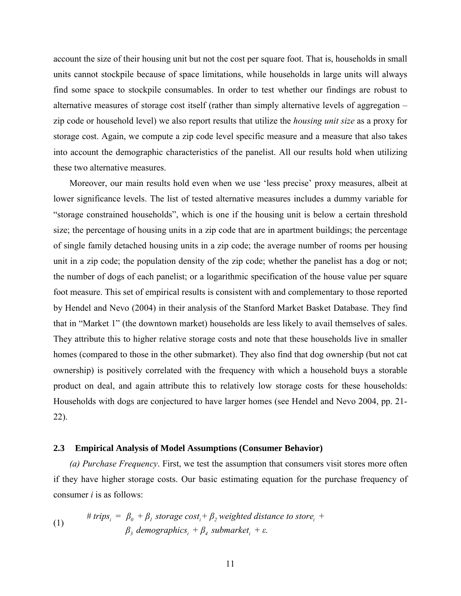account the size of their housing unit but not the cost per square foot. That is, households in small units cannot stockpile because of space limitations, while households in large units will always find some space to stockpile consumables. In order to test whether our findings are robust to alternative measures of storage cost itself (rather than simply alternative levels of aggregation – zip code or household level) we also report results that utilize the *housing unit size* as a proxy for storage cost. Again, we compute a zip code level specific measure and a measure that also takes into account the demographic characteristics of the panelist. All our results hold when utilizing these two alternative measures.

Moreover, our main results hold even when we use 'less precise' proxy measures, albeit at lower significance levels. The list of tested alternative measures includes a dummy variable for "storage constrained households", which is one if the housing unit is below a certain threshold size; the percentage of housing units in a zip code that are in apartment buildings; the percentage of single family detached housing units in a zip code; the average number of rooms per housing unit in a zip code; the population density of the zip code; whether the panelist has a dog or not; the number of dogs of each panelist; or a logarithmic specification of the house value per square foot measure. This set of empirical results is consistent with and complementary to those reported by Hendel and Nevo (2004) in their analysis of the Stanford Market Basket Database. They find that in "Market 1" (the downtown market) households are less likely to avail themselves of sales. They attribute this to higher relative storage costs and note that these households live in smaller homes (compared to those in the other submarket). They also find that dog ownership (but not cat ownership) is positively correlated with the frequency with which a household buys a storable product on deal, and again attribute this to relatively low storage costs for these households: Households with dogs are conjectured to have larger homes (see Hendel and Nevo 2004, pp. 21- 22).

#### **2.3 Empirical Analysis of Model Assumptions (Consumer Behavior)**

*(a) Purchase Frequency*. First, we test the assumption that consumers visit stores more often if they have higher storage costs. Our basic estimating equation for the purchase frequency of consumer *i* is as follows:

(1) 
$$
\# trips_i = \beta_0 + \beta_1 \; storage \; cost_i + \beta_2 \; weighted \; distance \; to \; store_i + \beta_3 \; demographies_i + \beta_4 \; submarket_i + \varepsilon.
$$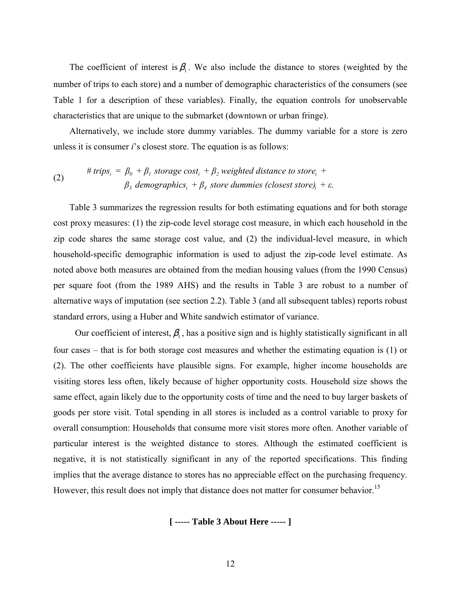The coefficient of interest is  $\beta$ <sub>1</sub>. We also include the distance to stores (weighted by the number of trips to each store) and a number of demographic characteristics of the consumers (see Table 1 for a description of these variables). Finally, the equation controls for unobservable characteristics that are unique to the submarket (downtown or urban fringe).

Alternatively, we include store dummy variables. The dummy variable for a store is zero unless it is consumer *i*'s closest store. The equation is as follows:

(2) 
$$
\# trips_i = \beta_0 + \beta_1 \; storage \; cost_i + \beta_2 \; weighted \; distance \; to \; store_i + \beta_3 \; demographies_i + \beta_4 \; store \; dummies \; (closest \; store)_i + \varepsilon.
$$

Table 3 summarizes the regression results for both estimating equations and for both storage cost proxy measures: (1) the zip-code level storage cost measure, in which each household in the zip code shares the same storage cost value, and (2) the individual-level measure, in which household-specific demographic information is used to adjust the zip-code level estimate. As noted above both measures are obtained from the median housing values (from the 1990 Census) per square foot (from the 1989 AHS) and the results in Table 3 are robust to a number of alternative ways of imputation (see section 2.2). Table 3 (and all subsequent tables) reports robust standard errors, using a Huber and White sandwich estimator of variance.

Our coefficient of interest,  $\beta_1$ , has a positive sign and is highly statistically significant in all four cases – that is for both storage cost measures and whether the estimating equation is (1) or (2). The other coefficients have plausible signs. For example, higher income households are visiting stores less often, likely because of higher opportunity costs. Household size shows the same effect, again likely due to the opportunity costs of time and the need to buy larger baskets of goods per store visit. Total spending in all stores is included as a control variable to proxy for overall consumption: Households that consume more visit stores more often. Another variable of particular interest is the weighted distance to stores. Although the estimated coefficient is negative, it is not statistically significant in any of the reported specifications. This finding implies that the average distance to stores has no appreciable effect on the purchasing frequency. However, this result does not imply that distance does not matter for consumer behavior.<sup>15</sup>

### **[ ----- Table 3 About Here ----- ]**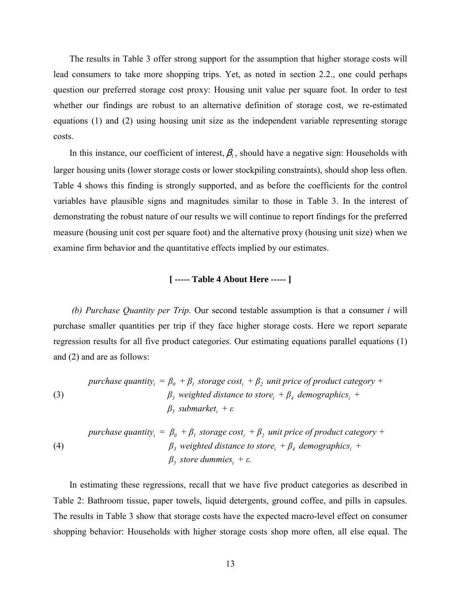The results in Table 3 offer strong support for the assumption that higher storage costs will lead consumers to take more shopping trips. Yet, as noted in section 2.2., one could perhaps question our preferred storage cost proxy: Housing unit value per square foot. In order to test whether our findings are robust to an alternative definition of storage cost, we re-estimated equations (1) and (2) using housing unit size as the independent variable representing storage costs.

In this instance, our coefficient of interest,  $\beta_1$ , should have a negative sign: Households with larger housing units (lower storage costs or lower stockpiling constraints), should shop less often. Table 4 shows this finding is strongly supported, and as before the coefficients for the control variables have plausible signs and magnitudes similar to those in Table 3. In the interest of demonstrating the robust nature of our results we will continue to report findings for the preferred measure (housing unit cost per square foot) and the alternative proxy (housing unit size) when we examine firm behavior and the quantitative effects implied by our estimates.

### **[ ----- Table 4 About Here ----- ]**

 *(b) Purchase Quantity per Trip*. Our second testable assumption is that a consumer *i* will purchase smaller quantities per trip if they face higher storage costs. Here we report separate regression results for all five product categories. Our estimating equations parallel equations (1) and (2) and are as follows:

putchase quantity, 
$$
= \beta_0 + \beta_1
$$
 storage cost,  $+ \beta_2$  unit price of product category +  $\beta_3$  weighted distance to store,  $+ \beta_4$  demographies,  $+ \beta_5$  submarket,  $+ \varepsilon$ 

\n $\beta_5$  submarket,  $+ \varepsilon$ 

(4) *i 01 i2 3 i4 i 5 i purchase quantity = β + β storage cost + β unit price of product category + β weighted distance to store + β demographics + β store dummies + ε.*

In estimating these regressions, recall that we have five product categories as described in Table 2: Bathroom tissue, paper towels, liquid detergents, ground coffee, and pills in capsules. The results in Table 3 show that storage costs have the expected macro-level effect on consumer shopping behavior: Households with higher storage costs shop more often, all else equal. The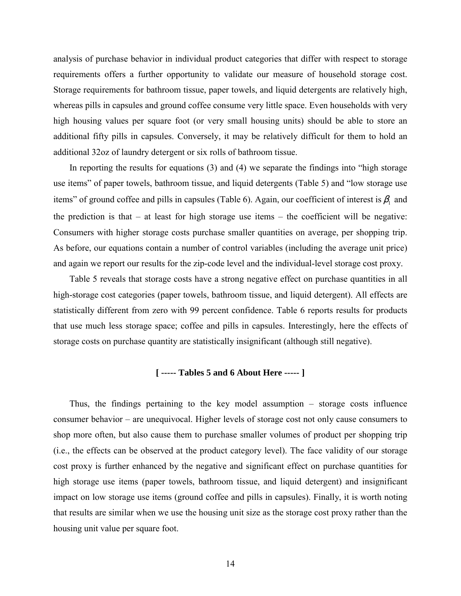analysis of purchase behavior in individual product categories that differ with respect to storage requirements offers a further opportunity to validate our measure of household storage cost. Storage requirements for bathroom tissue, paper towels, and liquid detergents are relatively high, whereas pills in capsules and ground coffee consume very little space. Even households with very high housing values per square foot (or very small housing units) should be able to store an additional fifty pills in capsules. Conversely, it may be relatively difficult for them to hold an additional 32oz of laundry detergent or six rolls of bathroom tissue.

In reporting the results for equations (3) and (4) we separate the findings into "high storage use items" of paper towels, bathroom tissue, and liquid detergents (Table 5) and "low storage use items" of ground coffee and pills in capsules (Table 6). Again, our coefficient of interest is  $\beta_1$  and the prediction is that  $-$  at least for high storage use items  $-$  the coefficient will be negative: Consumers with higher storage costs purchase smaller quantities on average, per shopping trip. As before, our equations contain a number of control variables (including the average unit price) and again we report our results for the zip-code level and the individual-level storage cost proxy.

Table 5 reveals that storage costs have a strong negative effect on purchase quantities in all high-storage cost categories (paper towels, bathroom tissue, and liquid detergent). All effects are statistically different from zero with 99 percent confidence. Table 6 reports results for products that use much less storage space; coffee and pills in capsules. Interestingly, here the effects of storage costs on purchase quantity are statistically insignificant (although still negative).

### **[ ----- Tables 5 and 6 About Here ----- ]**

Thus, the findings pertaining to the key model assumption – storage costs influence consumer behavior – are unequivocal. Higher levels of storage cost not only cause consumers to shop more often, but also cause them to purchase smaller volumes of product per shopping trip (i.e., the effects can be observed at the product category level). The face validity of our storage cost proxy is further enhanced by the negative and significant effect on purchase quantities for high storage use items (paper towels, bathroom tissue, and liquid detergent) and insignificant impact on low storage use items (ground coffee and pills in capsules). Finally, it is worth noting that results are similar when we use the housing unit size as the storage cost proxy rather than the housing unit value per square foot.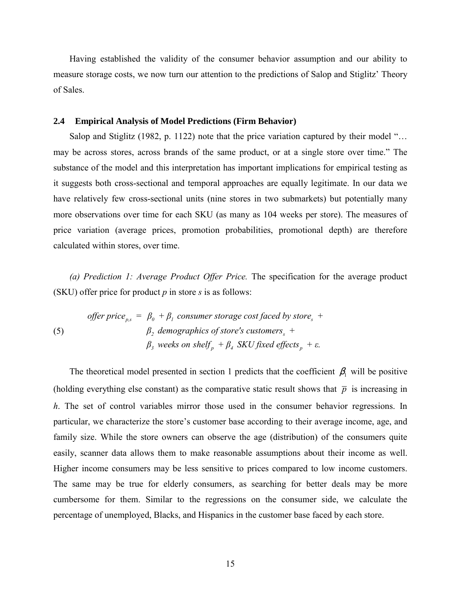Having established the validity of the consumer behavior assumption and our ability to measure storage costs, we now turn our attention to the predictions of Salop and Stiglitz' Theory of Sales.

#### **2.4 Empirical Analysis of Model Predictions (Firm Behavior)**

Salop and Stiglitz (1982, p. 1122) note that the price variation captured by their model "... may be across stores, across brands of the same product, or at a single store over time." The substance of the model and this interpretation has important implications for empirical testing as it suggests both cross-sectional and temporal approaches are equally legitimate. In our data we have relatively few cross-sectional units (nine stores in two submarkets) but potentially many more observations over time for each SKU (as many as 104 weeks per store). The measures of price variation (average prices, promotion probabilities, promotional depth) are therefore calculated within stores, over time.

*(a) Prediction 1: Average Product Offer Price.* The specification for the average product (SKU) offer price for product *p* in store *s* is as follows:

offer price<sub>p,s</sub> = 
$$
\beta_0 + \beta_1
$$
 consumer storage cost faced by store<sub>s</sub> +

\n
$$
\beta_2
$$
 demographies of store's customers<sub>s</sub> +\n
$$
\beta_3
$$
 weeks on shelf<sub>p</sub> +  $\beta_4$  SKU fixed effects<sub>p</sub> +  $\varepsilon$ .

The theoretical model presented in section 1 predicts that the coefficient  $\beta_1$  will be positive (holding everything else constant) as the comparative static result shows that  $\bar{p}$  is increasing in *h*. The set of control variables mirror those used in the consumer behavior regressions. In particular, we characterize the store's customer base according to their average income, age, and family size. While the store owners can observe the age (distribution) of the consumers quite easily, scanner data allows them to make reasonable assumptions about their income as well. Higher income consumers may be less sensitive to prices compared to low income customers. The same may be true for elderly consumers, as searching for better deals may be more cumbersome for them. Similar to the regressions on the consumer side, we calculate the percentage of unemployed, Blacks, and Hispanics in the customer base faced by each store.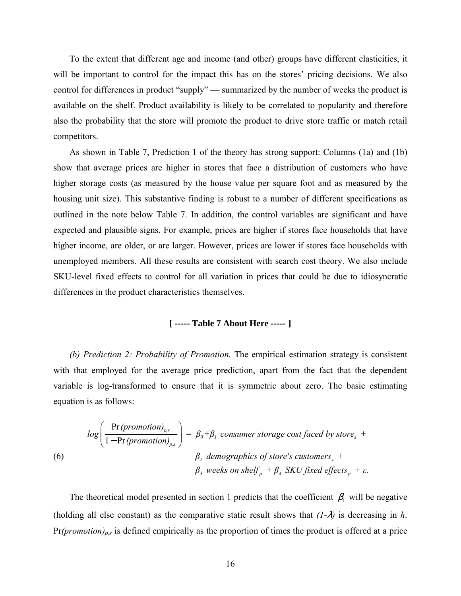To the extent that different age and income (and other) groups have different elasticities, it will be important to control for the impact this has on the stores' pricing decisions. We also control for differences in product "supply" — summarized by the number of weeks the product is available on the shelf. Product availability is likely to be correlated to popularity and therefore also the probability that the store will promote the product to drive store traffic or match retail competitors.

As shown in Table 7, Prediction 1 of the theory has strong support: Columns (1a) and (1b) show that average prices are higher in stores that face a distribution of customers who have higher storage costs (as measured by the house value per square foot and as measured by the housing unit size). This substantive finding is robust to a number of different specifications as outlined in the note below Table 7. In addition, the control variables are significant and have expected and plausible signs. For example, prices are higher if stores face households that have higher income, are older, or are larger. However, prices are lower if stores face households with unemployed members. All these results are consistent with search cost theory. We also include SKU-level fixed effects to control for all variation in prices that could be due to idiosyncratic differences in the product characteristics themselves.

### **[ ----- Table 7 About Here ----- ]**

*(b) Prediction 2: Probability of Promotion.* The empirical estimation strategy is consistent with that employed for the average price prediction, apart from the fact that the dependent variable is log-transformed to ensure that it is symmetric about zero. The basic estimating equation is as follows:

$$
log\left(\frac{Pr(promotion)_{p,s}}{1 - Pr(promotion)_{p,s}}\right) = \beta_0 + \beta_1 \text{ consumer storage cost faced by store}_s +
$$
  
(6)  

$$
\beta_2 \text{ demographies of store's customers}_s +
$$
  

$$
\beta_3 \text{ weeks on shelf}_p + \beta_4 \text{ SKU fixed effects}_p + \varepsilon.
$$

The theoretical model presented in section 1 predicts that the coefficient  $\beta_1$  will be negative (holding all else constant) as the comparative static result shows that  $(1-\lambda)$  is decreasing in *h*. Pr(*promotion*)<sub>p,s</sub> is defined empirically as the proportion of times the product is offered at a price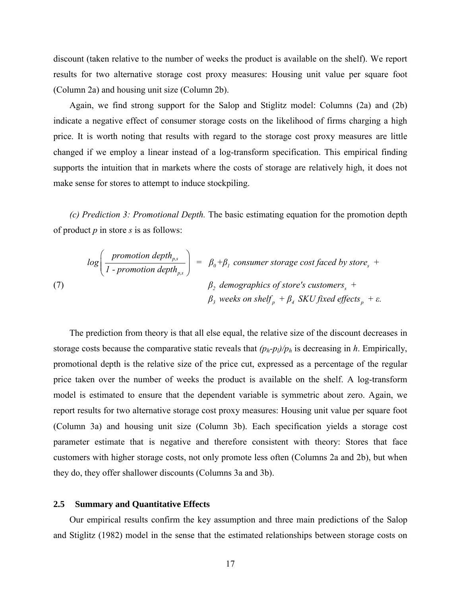discount (taken relative to the number of weeks the product is available on the shelf). We report results for two alternative storage cost proxy measures: Housing unit value per square foot (Column 2a) and housing unit size (Column 2b).

Again, we find strong support for the Salop and Stiglitz model: Columns (2a) and (2b) indicate a negative effect of consumer storage costs on the likelihood of firms charging a high price. It is worth noting that results with regard to the storage cost proxy measures are little changed if we employ a linear instead of a log-transform specification. This empirical finding supports the intuition that in markets where the costs of storage are relatively high, it does not make sense for stores to attempt to induce stockpiling.

*(c) Prediction 3: Promotional Depth.* The basic estimating equation for the promotion depth of product *p* in store *s* is as follows:

(7) 
$$
\log \left( \frac{\text{promotion depth}_{p,s}}{1 \text{ - promotion depth}_{p,s}} \right) = \beta_0 + \beta_1 \text{ consumer storage cost faced by store}_s + \beta_2 \text{ demographies of store's customers}_s + \beta_3 \text{ weeks on shelf}_p + \beta_4 \text{ SKU fixed effects}_p + \epsilon.
$$

The prediction from theory is that all else equal, the relative size of the discount decreases in storage costs because the comparative static reveals that  $(p_h-p_l)/p_h$  is decreasing in h. Empirically, promotional depth is the relative size of the price cut, expressed as a percentage of the regular price taken over the number of weeks the product is available on the shelf. A log-transform model is estimated to ensure that the dependent variable is symmetric about zero. Again, we report results for two alternative storage cost proxy measures: Housing unit value per square foot (Column 3a) and housing unit size (Column 3b). Each specification yields a storage cost parameter estimate that is negative and therefore consistent with theory: Stores that face customers with higher storage costs, not only promote less often (Columns 2a and 2b), but when they do, they offer shallower discounts (Columns 3a and 3b).

#### **2.5 Summary and Quantitative Effects**

Our empirical results confirm the key assumption and three main predictions of the Salop and Stiglitz (1982) model in the sense that the estimated relationships between storage costs on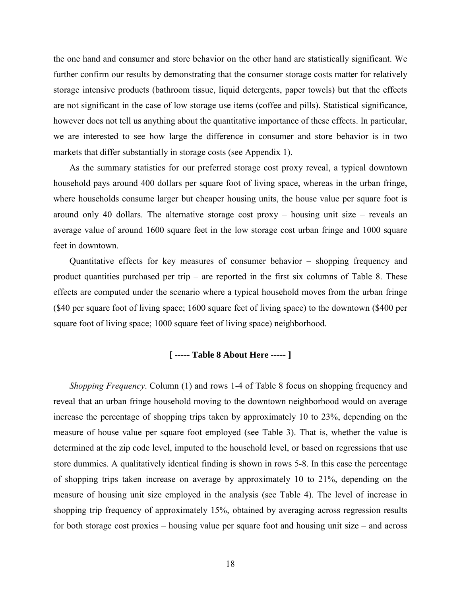the one hand and consumer and store behavior on the other hand are statistically significant. We further confirm our results by demonstrating that the consumer storage costs matter for relatively storage intensive products (bathroom tissue, liquid detergents, paper towels) but that the effects are not significant in the case of low storage use items (coffee and pills). Statistical significance, however does not tell us anything about the quantitative importance of these effects. In particular, we are interested to see how large the difference in consumer and store behavior is in two markets that differ substantially in storage costs (see Appendix 1).

As the summary statistics for our preferred storage cost proxy reveal, a typical downtown household pays around 400 dollars per square foot of living space, whereas in the urban fringe, where households consume larger but cheaper housing units, the house value per square foot is around only 40 dollars. The alternative storage cost proxy – housing unit size – reveals an average value of around 1600 square feet in the low storage cost urban fringe and 1000 square feet in downtown.

Quantitative effects for key measures of consumer behavior – shopping frequency and product quantities purchased per trip – are reported in the first six columns of Table 8. These effects are computed under the scenario where a typical household moves from the urban fringe (\$40 per square foot of living space; 1600 square feet of living space) to the downtown (\$400 per square foot of living space; 1000 square feet of living space) neighborhood.

### **[ ----- Table 8 About Here ----- ]**

*Shopping Frequency.* Column (1) and rows 1-4 of Table 8 focus on shopping frequency and reveal that an urban fringe household moving to the downtown neighborhood would on average increase the percentage of shopping trips taken by approximately 10 to 23%, depending on the measure of house value per square foot employed (see Table 3). That is, whether the value is determined at the zip code level, imputed to the household level, or based on regressions that use store dummies. A qualitatively identical finding is shown in rows 5-8. In this case the percentage of shopping trips taken increase on average by approximately 10 to 21%, depending on the measure of housing unit size employed in the analysis (see Table 4). The level of increase in shopping trip frequency of approximately 15%, obtained by averaging across regression results for both storage cost proxies – housing value per square foot and housing unit size – and across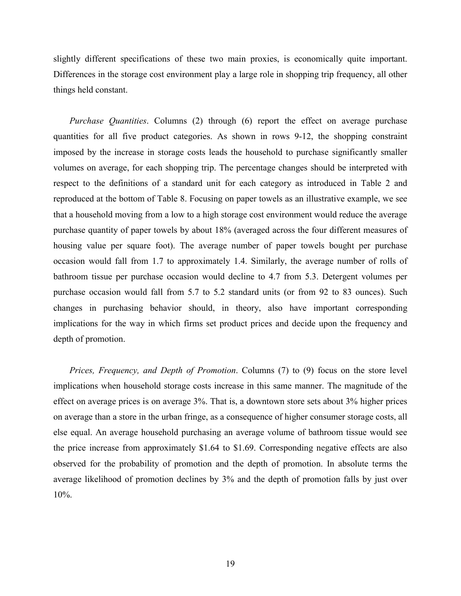slightly different specifications of these two main proxies, is economically quite important. Differences in the storage cost environment play a large role in shopping trip frequency, all other things held constant.

*Purchase Quantities*. Columns (2) through (6) report the effect on average purchase quantities for all five product categories. As shown in rows 9-12, the shopping constraint imposed by the increase in storage costs leads the household to purchase significantly smaller volumes on average, for each shopping trip. The percentage changes should be interpreted with respect to the definitions of a standard unit for each category as introduced in Table 2 and reproduced at the bottom of Table 8. Focusing on paper towels as an illustrative example, we see that a household moving from a low to a high storage cost environment would reduce the average purchase quantity of paper towels by about 18% (averaged across the four different measures of housing value per square foot). The average number of paper towels bought per purchase occasion would fall from 1.7 to approximately 1.4. Similarly, the average number of rolls of bathroom tissue per purchase occasion would decline to 4.7 from 5.3. Detergent volumes per purchase occasion would fall from 5.7 to 5.2 standard units (or from 92 to 83 ounces). Such changes in purchasing behavior should, in theory, also have important corresponding implications for the way in which firms set product prices and decide upon the frequency and depth of promotion.

*Prices, Frequency, and Depth of Promotion*. Columns (7) to (9) focus on the store level implications when household storage costs increase in this same manner. The magnitude of the effect on average prices is on average 3%. That is, a downtown store sets about 3% higher prices on average than a store in the urban fringe, as a consequence of higher consumer storage costs, all else equal. An average household purchasing an average volume of bathroom tissue would see the price increase from approximately \$1.64 to \$1.69. Corresponding negative effects are also observed for the probability of promotion and the depth of promotion. In absolute terms the average likelihood of promotion declines by 3% and the depth of promotion falls by just over 10%.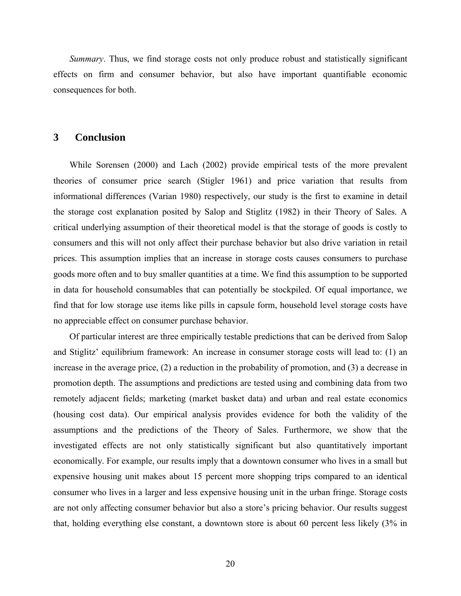*Summary*. Thus, we find storage costs not only produce robust and statistically significant effects on firm and consumer behavior, but also have important quantifiable economic consequences for both.

### **3 Conclusion**

While Sorensen (2000) and Lach (2002) provide empirical tests of the more prevalent theories of consumer price search (Stigler 1961) and price variation that results from informational differences (Varian 1980) respectively, our study is the first to examine in detail the storage cost explanation posited by Salop and Stiglitz (1982) in their Theory of Sales. A critical underlying assumption of their theoretical model is that the storage of goods is costly to consumers and this will not only affect their purchase behavior but also drive variation in retail prices. This assumption implies that an increase in storage costs causes consumers to purchase goods more often and to buy smaller quantities at a time. We find this assumption to be supported in data for household consumables that can potentially be stockpiled. Of equal importance, we find that for low storage use items like pills in capsule form, household level storage costs have no appreciable effect on consumer purchase behavior.

Of particular interest are three empirically testable predictions that can be derived from Salop and Stiglitz' equilibrium framework: An increase in consumer storage costs will lead to: (1) an increase in the average price, (2) a reduction in the probability of promotion, and (3) a decrease in promotion depth. The assumptions and predictions are tested using and combining data from two remotely adjacent fields; marketing (market basket data) and urban and real estate economics (housing cost data). Our empirical analysis provides evidence for both the validity of the assumptions and the predictions of the Theory of Sales. Furthermore, we show that the investigated effects are not only statistically significant but also quantitatively important economically. For example, our results imply that a downtown consumer who lives in a small but expensive housing unit makes about 15 percent more shopping trips compared to an identical consumer who lives in a larger and less expensive housing unit in the urban fringe. Storage costs are not only affecting consumer behavior but also a store's pricing behavior. Our results suggest that, holding everything else constant, a downtown store is about 60 percent less likely (3% in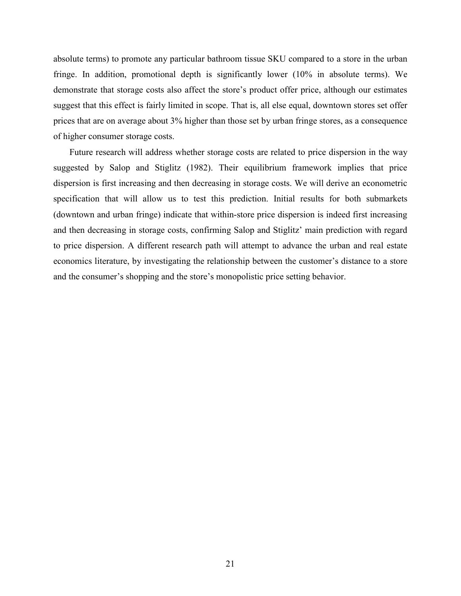absolute terms) to promote any particular bathroom tissue SKU compared to a store in the urban fringe. In addition, promotional depth is significantly lower (10% in absolute terms). We demonstrate that storage costs also affect the store's product offer price, although our estimates suggest that this effect is fairly limited in scope. That is, all else equal, downtown stores set offer prices that are on average about 3% higher than those set by urban fringe stores, as a consequence of higher consumer storage costs.

Future research will address whether storage costs are related to price dispersion in the way suggested by Salop and Stiglitz (1982). Their equilibrium framework implies that price dispersion is first increasing and then decreasing in storage costs. We will derive an econometric specification that will allow us to test this prediction. Initial results for both submarkets (downtown and urban fringe) indicate that within-store price dispersion is indeed first increasing and then decreasing in storage costs, confirming Salop and Stiglitz' main prediction with regard to price dispersion. A different research path will attempt to advance the urban and real estate economics literature, by investigating the relationship between the customer's distance to a store and the consumer's shopping and the store's monopolistic price setting behavior.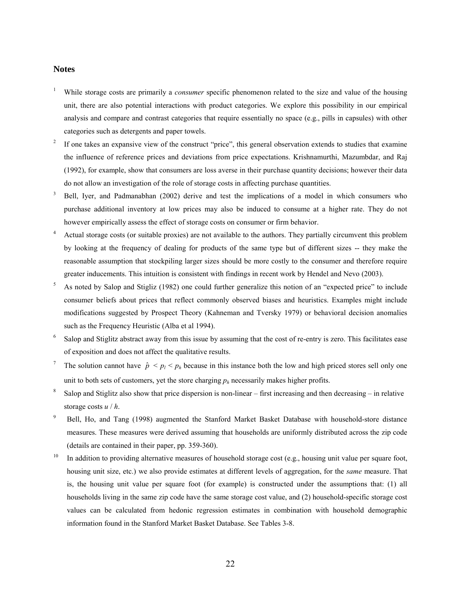#### **Notes**

- 1 While storage costs are primarily a *consumer* specific phenomenon related to the size and value of the housing unit, there are also potential interactions with product categories. We explore this possibility in our empirical analysis and compare and contrast categories that require essentially no space (e.g., pills in capsules) with other categories such as detergents and paper towels.
- 2 If one takes an expansive view of the construct "price", this general observation extends to studies that examine the influence of reference prices and deviations from price expectations. Krishnamurthi, Mazumbdar, and Raj (1992), for example, show that consumers are loss averse in their purchase quantity decisions; however their data do not allow an investigation of the role of storage costs in affecting purchase quantities.
- 3 Bell, Iyer, and Padmanabhan (2002) derive and test the implications of a model in which consumers who purchase additional inventory at low prices may also be induced to consume at a higher rate. They do not however empirically assess the effect of storage costs on consumer or firm behavior.
- 4 Actual storage costs (or suitable proxies) are not available to the authors. They partially circumvent this problem by looking at the frequency of dealing for products of the same type but of different sizes -- they make the reasonable assumption that stockpiling larger sizes should be more costly to the consumer and therefore require greater inducements. This intuition is consistent with findings in recent work by Hendel and Nevo (2003).
- 5 As noted by Salop and Stigliz (1982) one could further generalize this notion of an "expected price" to include consumer beliefs about prices that reflect commonly observed biases and heuristics. Examples might include modifications suggested by Prospect Theory (Kahneman and Tversky 1979) or behavioral decision anomalies such as the Frequency Heuristic (Alba et al 1994).
- 6 Salop and Stiglitz abstract away from this issue by assuming that the cost of re-entry is zero. This facilitates ease of exposition and does not affect the qualitative results.
- 7 The solution cannot have  $\hat{p}$  <  $p_l$  <  $p_h$  because in this instance both the low and high priced stores sell only one unit to both sets of customers, yet the store charging  $p_h$  necessarily makes higher profits.
- 8 Salop and Stiglitz also show that price dispersion is non-linear – first increasing and then decreasing – in relative storage costs *u* / *h*.
- $\overline{9}$  Bell, Ho, and Tang (1998) augmented the Stanford Market Basket Database with household-store distance measures. These measures were derived assuming that households are uniformly distributed across the zip code (details are contained in their paper, pp. 359-360).
- <sup>10</sup> In addition to providing alternative measures of household storage cost (e.g., housing unit value per square foot, housing unit size, etc.) we also provide estimates at different levels of aggregation, for the *same* measure. That is, the housing unit value per square foot (for example) is constructed under the assumptions that: (1) all households living in the same zip code have the same storage cost value, and (2) household-specific storage cost values can be calculated from hedonic regression estimates in combination with household demographic information found in the Stanford Market Basket Database. See Tables 3-8.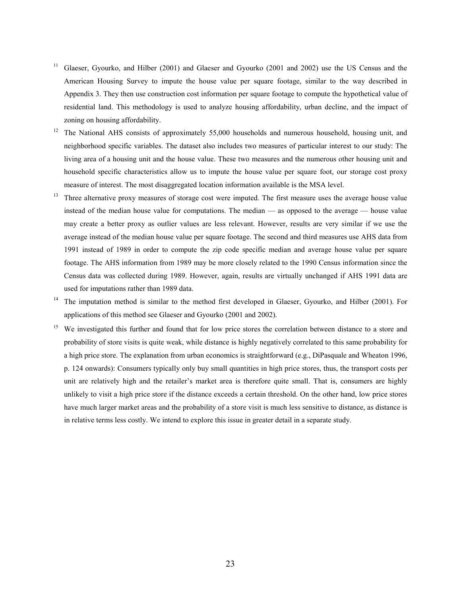- <sup>11</sup> Glaeser, Gyourko, and Hilber (2001) and Glaeser and Gyourko (2001 and 2002) use the US Census and the American Housing Survey to impute the house value per square footage, similar to the way described in Appendix 3. They then use construction cost information per square footage to compute the hypothetical value of residential land. This methodology is used to analyze housing affordability, urban decline, and the impact of zoning on housing affordability.
- $12$  The National AHS consists of approximately 55,000 households and numerous household, housing unit, and neighborhood specific variables. The dataset also includes two measures of particular interest to our study: The living area of a housing unit and the house value. These two measures and the numerous other housing unit and household specific characteristics allow us to impute the house value per square foot, our storage cost proxy measure of interest. The most disaggregated location information available is the MSA level.
- <sup>13</sup> Three alternative proxy measures of storage cost were imputed. The first measure uses the average house value instead of the median house value for computations. The median — as opposed to the average — house value may create a better proxy as outlier values are less relevant. However, results are very similar if we use the average instead of the median house value per square footage. The second and third measures use AHS data from 1991 instead of 1989 in order to compute the zip code specific median and average house value per square footage. The AHS information from 1989 may be more closely related to the 1990 Census information since the Census data was collected during 1989. However, again, results are virtually unchanged if AHS 1991 data are used for imputations rather than 1989 data.
- <sup>14</sup> The imputation method is similar to the method first developed in Glaeser, Gyourko, and Hilber (2001). For applications of this method see Glaeser and Gyourko (2001 and 2002).
- <sup>15</sup> We investigated this further and found that for low price stores the correlation between distance to a store and probability of store visits is quite weak, while distance is highly negatively correlated to this same probability for a high price store. The explanation from urban economics is straightforward (e.g., DiPasquale and Wheaton 1996, p. 124 onwards): Consumers typically only buy small quantities in high price stores, thus, the transport costs per unit are relatively high and the retailer's market area is therefore quite small. That is, consumers are highly unlikely to visit a high price store if the distance exceeds a certain threshold. On the other hand, low price stores have much larger market areas and the probability of a store visit is much less sensitive to distance, as distance is in relative terms less costly. We intend to explore this issue in greater detail in a separate study.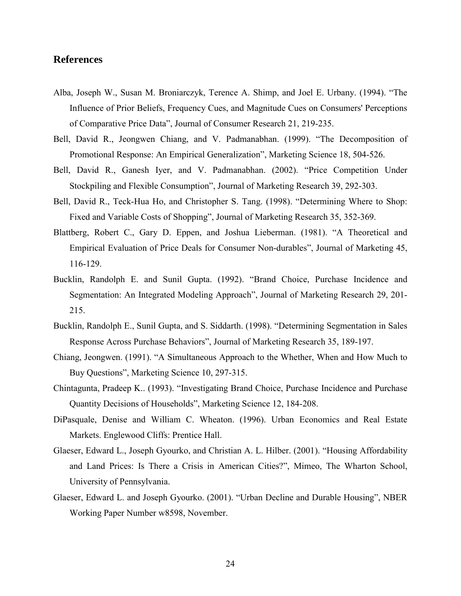### **References**

- Alba, Joseph W., Susan M. Broniarczyk, Terence A. Shimp, and Joel E. Urbany. (1994). "The Influence of Prior Beliefs, Frequency Cues, and Magnitude Cues on Consumers' Perceptions of Comparative Price Data", Journal of Consumer Research 21, 219-235.
- Bell, David R., Jeongwen Chiang, and V. Padmanabhan. (1999). "The Decomposition of Promotional Response: An Empirical Generalization", Marketing Science 18, 504-526.
- Bell, David R., Ganesh Iyer, and V. Padmanabhan. (2002). "Price Competition Under Stockpiling and Flexible Consumption", Journal of Marketing Research 39, 292-303.
- Bell, David R., Teck-Hua Ho, and Christopher S. Tang. (1998). "Determining Where to Shop: Fixed and Variable Costs of Shopping", Journal of Marketing Research 35, 352-369.
- Blattberg, Robert C., Gary D. Eppen, and Joshua Lieberman. (1981). "A Theoretical and Empirical Evaluation of Price Deals for Consumer Non-durables", Journal of Marketing 45, 116-129.
- Bucklin, Randolph E. and Sunil Gupta. (1992). "Brand Choice, Purchase Incidence and Segmentation: An Integrated Modeling Approach", Journal of Marketing Research 29, 201- 215.
- Bucklin, Randolph E., Sunil Gupta, and S. Siddarth. (1998). "Determining Segmentation in Sales Response Across Purchase Behaviors", Journal of Marketing Research 35, 189-197.
- Chiang, Jeongwen. (1991). "A Simultaneous Approach to the Whether, When and How Much to Buy Questions", Marketing Science 10, 297-315.
- Chintagunta, Pradeep K.. (1993). "Investigating Brand Choice, Purchase Incidence and Purchase Quantity Decisions of Households", Marketing Science 12, 184-208.
- DiPasquale, Denise and William C. Wheaton. (1996). Urban Economics and Real Estate Markets. Englewood Cliffs: Prentice Hall.
- Glaeser, Edward L., Joseph Gyourko, and Christian A. L. Hilber. (2001). "Housing Affordability and Land Prices: Is There a Crisis in American Cities?", Mimeo, The Wharton School, University of Pennsylvania.
- Glaeser, Edward L. and Joseph Gyourko. (2001). "Urban Decline and Durable Housing", NBER Working Paper Number w8598, November.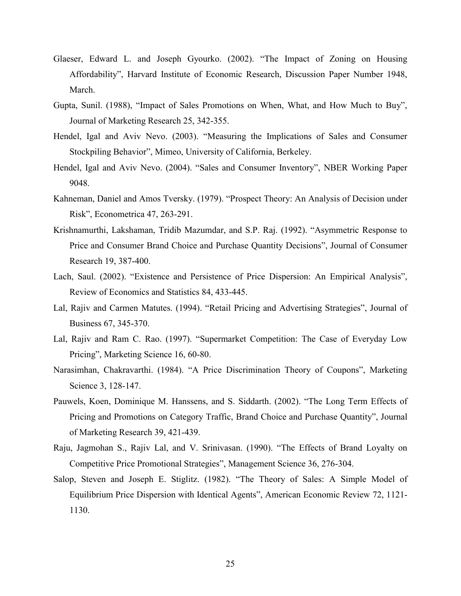- Glaeser, Edward L. and Joseph Gyourko. (2002). "The Impact of Zoning on Housing Affordability", Harvard Institute of Economic Research, Discussion Paper Number 1948, March.
- Gupta, Sunil. (1988), "Impact of Sales Promotions on When, What, and How Much to Buy", Journal of Marketing Research 25, 342-355.
- Hendel, Igal and Aviv Nevo. (2003). "Measuring the Implications of Sales and Consumer Stockpiling Behavior", Mimeo, University of California, Berkeley.
- Hendel, Igal and Aviv Nevo. (2004). "Sales and Consumer Inventory", NBER Working Paper 9048.
- Kahneman, Daniel and Amos Tversky. (1979). "Prospect Theory: An Analysis of Decision under Risk", Econometrica 47, 263-291.
- Krishnamurthi, Lakshaman, Tridib Mazumdar, and S.P. Raj. (1992). "Asymmetric Response to Price and Consumer Brand Choice and Purchase Quantity Decisions", Journal of Consumer Research 19, 387-400.
- Lach, Saul. (2002). "Existence and Persistence of Price Dispersion: An Empirical Analysis", Review of Economics and Statistics 84, 433-445.
- Lal, Rajiv and Carmen Matutes. (1994). "Retail Pricing and Advertising Strategies", Journal of Business 67, 345-370.
- Lal, Rajiv and Ram C. Rao. (1997). "Supermarket Competition: The Case of Everyday Low Pricing", Marketing Science 16, 60-80.
- Narasimhan, Chakravarthi. (1984). "A Price Discrimination Theory of Coupons", Marketing Science 3, 128-147.
- Pauwels, Koen, Dominique M. Hanssens, and S. Siddarth. (2002). "The Long Term Effects of Pricing and Promotions on Category Traffic, Brand Choice and Purchase Quantity", Journal of Marketing Research 39, 421-439.
- Raju, Jagmohan S., Rajiv Lal, and V. Srinivasan. (1990). "The Effects of Brand Loyalty on Competitive Price Promotional Strategies", Management Science 36, 276-304.
- Salop, Steven and Joseph E. Stiglitz. (1982). "The Theory of Sales: A Simple Model of Equilibrium Price Dispersion with Identical Agents", American Economic Review 72, 1121- 1130.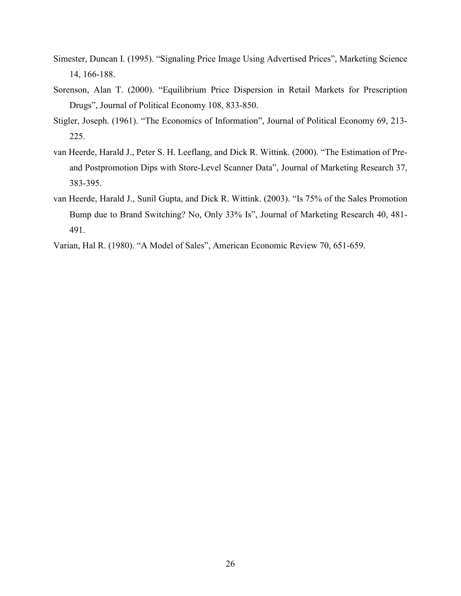- Simester, Duncan I. (1995). "Signaling Price Image Using Advertised Prices", Marketing Science 14, 166-188.
- Sorenson, Alan T. (2000). "Equilibrium Price Dispersion in Retail Markets for Prescription Drugs", Journal of Political Economy 108, 833-850.
- Stigler, Joseph. (1961). "The Economics of Information", Journal of Political Economy 69, 213- 225.
- van Heerde, Harald J., Peter S. H. Leeflang, and Dick R. Wittink. (2000). "The Estimation of Preand Postpromotion Dips with Store-Level Scanner Data", Journal of Marketing Research 37, 383-395.
- van Heerde, Harald J., Sunil Gupta, and Dick R. Wittink. (2003). "Is 75% of the Sales Promotion Bump due to Brand Switching? No, Only 33% Is", Journal of Marketing Research 40, 481- 491.
- Varian, Hal R. (1980). "A Model of Sales", American Economic Review 70, 651-659.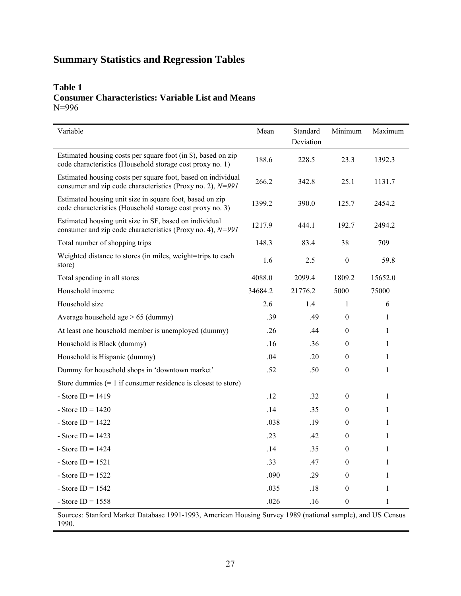# **Summary Statistics and Regression Tables**

### **Table 1**

### **Consumer Characteristics: Variable List and Means**  N=996

| Variable                                                                                                                     | Mean    | Standard<br>Deviation | Minimum          | Maximum      |
|------------------------------------------------------------------------------------------------------------------------------|---------|-----------------------|------------------|--------------|
| Estimated housing costs per square foot (in \$), based on zip<br>code characteristics (Household storage cost proxy no. 1)   | 188.6   | 228.5                 | 23.3             | 1392.3       |
| Estimated housing costs per square foot, based on individual<br>consumer and zip code characteristics (Proxy no. 2), $N=991$ | 266.2   | 342.8                 | 25.1             | 1131.7       |
| Estimated housing unit size in square foot, based on zip<br>code characteristics (Household storage cost proxy no. 3)        | 1399.2  | 390.0                 | 125.7            | 2454.2       |
| Estimated housing unit size in SF, based on individual<br>consumer and zip code characteristics (Proxy no. 4), $N=991$       | 1217.9  | 444.1                 | 192.7            | 2494.2       |
| Total number of shopping trips                                                                                               | 148.3   | 83.4                  | 38               | 709          |
| Weighted distance to stores (in miles, weight=trips to each<br>store)                                                        | 1.6     | 2.5                   | $\boldsymbol{0}$ | 59.8         |
| Total spending in all stores                                                                                                 | 4088.0  | 2099.4                | 1809.2           | 15652.0      |
| Household income                                                                                                             | 34684.2 | 21776.2               | 5000             | 75000        |
| Household size                                                                                                               | 2.6     | 1.4                   | 1                | 6            |
| Average household age $> 65$ (dummy)                                                                                         | .39     | .49                   | $\theta$         | 1            |
| At least one household member is unemployed (dummy)                                                                          | .26     | .44                   | $\theta$         | $\mathbf{1}$ |
| Household is Black (dummy)                                                                                                   | .16     | .36                   | $\theta$         | $\mathbf{1}$ |
| Household is Hispanic (dummy)                                                                                                | .04     | .20                   | $\theta$         | 1            |
| Dummy for household shops in 'downtown market'                                                                               | .52     | .50                   | $\theta$         | $\mathbf{1}$ |
| Store dummies $(= 1$ if consumer residence is closest to store)                                                              |         |                       |                  |              |
| - Store ID = $1419$                                                                                                          | .12     | .32                   | $\theta$         | 1            |
| - Store ID = $1420$                                                                                                          | .14     | .35                   | $\theta$         | $\mathbf{1}$ |
| - Store ID = $1422$                                                                                                          | .038    | .19                   | $\theta$         | $\mathbf{1}$ |
| - Store ID = $1423$                                                                                                          | .23     | .42                   | $\theta$         | $\mathbf{1}$ |
| - Store ID = $1424$                                                                                                          | .14     | .35                   | $\theta$         | $\mathbf{1}$ |
| - Store ID = $1521$                                                                                                          | .33     | .47                   | $\theta$         | $\mathbf{1}$ |
| - Store ID = $1522$                                                                                                          | .090    | .29                   | $\theta$         | $\mathbf{1}$ |
| - Store ID = $1542$                                                                                                          | .035    | .18                   | $\boldsymbol{0}$ | $\mathbf{1}$ |
| - Store ID = $1558$                                                                                                          | .026    | .16                   | $\boldsymbol{0}$ | $\mathbf{1}$ |

Sources: Stanford Market Database 1991-1993, American Housing Survey 1989 (national sample), and US Census 1990.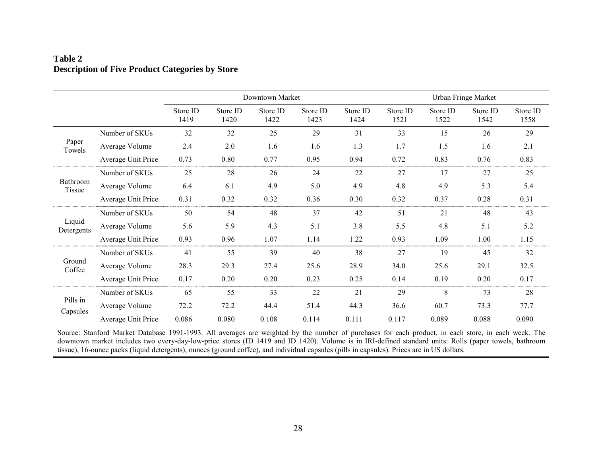| <b>Table 2</b>                                         |  |
|--------------------------------------------------------|--|
| <b>Description of Five Product Categories by Store</b> |  |

|                      |                    |                  |                  | Downtown Market  |                  |                  | Urban Fringe Market |                  |                  |                  |  |  |  |
|----------------------|--------------------|------------------|------------------|------------------|------------------|------------------|---------------------|------------------|------------------|------------------|--|--|--|
|                      |                    | Store ID<br>1419 | Store ID<br>1420 | Store ID<br>1422 | Store ID<br>1423 | Store ID<br>1424 | Store ID<br>1521    | Store ID<br>1522 | Store ID<br>1542 | Store ID<br>1558 |  |  |  |
|                      | Number of SKUs     | 32               | 32               | 25               | 29               | 31               | 33                  | 15               | 26               | 29               |  |  |  |
| Paper<br>Towels      | Average Volume     | 2.4              | 2.0              | 1.6              | 1.6              | 1.3              | 1.7                 | 1.5              | 1.6              | 2.1              |  |  |  |
|                      | Average Unit Price | 0.73             | 0.80             | 0.77             | 0.95             | 0.94             | 0.72                | 0.83             | 0.76             | 0.83             |  |  |  |
|                      | Number of SKUs     | 25               | 28               | 26               | 24               | 22               | 27                  | 17               | 27               | 25               |  |  |  |
| Bathroom<br>Tissue   | Average Volume     | 6.4              | 6.1              | 4.9              | 5.0              | 4.9              | 4.8                 | 4.9              | 5.3              | 5.4              |  |  |  |
|                      | Average Unit Price | 0.31             | 0.32             | 0.32             | 0.36             | 0.30             | 0.32                | 0.37             | 0.28             | 0.31             |  |  |  |
|                      | Number of SKUs     | 50               | 54               | 48               | 37               | 42               | 51                  | 21               | 48               | 43               |  |  |  |
| Liquid<br>Detergents | Average Volume     | 5.6              | 5.9              | 4.3              | 5.1              | 3.8              | 5.5                 | 4.8              | 5.1              | 5.2              |  |  |  |
|                      | Average Unit Price | 0.93             | 0.96             | 1.07             | 1.14             | 1.22             | 0.93                | 1.09             | 1.00             | 1.15             |  |  |  |
|                      | Number of SKUs     | 41               | 55               | 39               | 40               | 38               | 27                  | 19               | 45               | 32               |  |  |  |
| Ground<br>Coffee     | Average Volume     | 28.3             | 29.3             | 27.4             | 25.6             | 28.9             | 34.0                | 25.6             | 29.1             | 32.5             |  |  |  |
|                      | Average Unit Price | 0.17             | 0.20             | 0.20             | 0.23             | 0.25             | 0.14                | 0.19             | 0.20             | 0.17             |  |  |  |
|                      | Number of SKUs     | 65               | 55               | 33               | 22               | 21               | 29                  | 8                | 73               | 28               |  |  |  |
| Pills in             | Average Volume     | 72.2             | 72.2             | 44.4             | 51.4             | 44.3             | 36.6                | 60.7             | 73.3             | 77.7             |  |  |  |
| Capsules             | Average Unit Price | 0.086            | 0.080            | 0.108            | 0.114            | 0.111            | 0.117               | 0.089            | 0.088            | 0.090            |  |  |  |

Source: Stanford Market Database 1991-1993. All averages are weighted by the number of purchases for each product, in each store, in each week. The downtown market includes two every-day-low-price stores (ID 1419 and ID 1420). Volume is in IRI-defined standard units: Rolls (paper towels, bathroom tissue), 16-ounce packs (liquid detergents), ounces (ground coffee), and individual capsules (pills in capsules). Prices are in US dollars.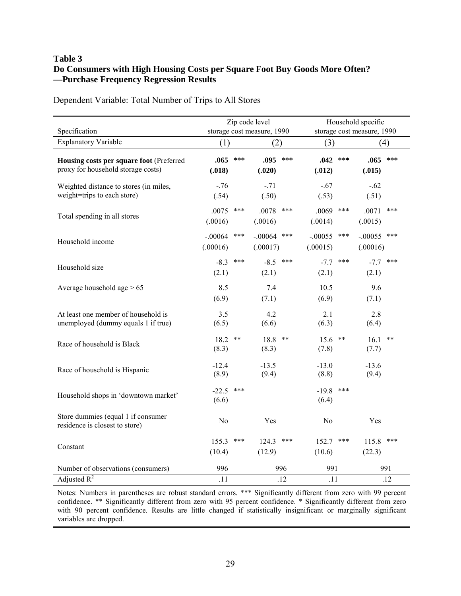### **Table 3 Do Consumers with High Housing Costs per Square Foot Buy Goods More Often? —Purchase Frequency Regression Results**

|                                                                                |                       |       | Zip code level             |              | Household specific<br>storage cost measure, 1990 |       |                           |       |  |
|--------------------------------------------------------------------------------|-----------------------|-------|----------------------------|--------------|--------------------------------------------------|-------|---------------------------|-------|--|
| Specification                                                                  |                       |       | storage cost measure, 1990 |              |                                                  |       |                           |       |  |
| <b>Explanatory Variable</b>                                                    | (1)                   |       | (2)                        |              | (3)                                              |       |                           | (4)   |  |
| Housing costs per square foot (Preferred<br>proxy for household storage costs) | .065<br>(.018)        | ***   | .095<br>(.020)             | ***          | .042<br>(.012)                                   | ***   | $.065$ ***<br>(.015)      |       |  |
| Weighted distance to stores (in miles,<br>weight=trips to each store)          | $-.76$<br>(.54)       |       | $-.71$<br>(.50)            |              | $-.67$<br>(.53)                                  |       | $-.62$<br>(.51)           |       |  |
| Total spending in all stores                                                   | .0075<br>(.0016)      | ***   | .0078<br>(.0016)           | ***          | .0069<br>(.0014)                                 | ***   | .0071<br>(.0015)          | ***   |  |
| Household income                                                               | $-.00064$<br>(.00016) | ***   | $-.00064$ ***<br>(.00017)  |              | $-.00055$<br>(.00015)                            | ***   | $-.00055$ ***<br>(.00016) |       |  |
| Household size                                                                 | $-8.3$<br>(2.1)       | ***   | $-8.5$<br>(2.1)            | ***          | $-7.7$<br>(2.1)                                  | ***   | $-7.7$<br>(2.1)           | $***$ |  |
| Average household age $> 65$                                                   | 8.5<br>(6.9)          |       | 7.4<br>(7.1)               |              | 10.5<br>(6.9)                                    |       | 9.6<br>(7.1)              |       |  |
| At least one member of household is<br>unemployed (dummy equals 1 if true)     | 3.5<br>(6.5)          |       | 4.2<br>(6.6)               |              | 2.1<br>(6.3)                                     |       | 2.8<br>(6.4)              |       |  |
| Race of household is Black                                                     | 18.2<br>(8.3)         | $***$ | 18.8<br>(8.3)              | $\star\star$ | 15.6<br>(7.8)                                    | $***$ | 16.1<br>(7.7)             | $***$ |  |
| Race of household is Hispanic                                                  | $-12.4$<br>(8.9)      |       | $-13.5$<br>(9.4)           |              | $-13.0$<br>(8.8)                                 |       | $-13.6$<br>(9.4)          |       |  |
| Household shops in 'downtown market'                                           | $-22.5$<br>(6.6)      | $***$ |                            |              | $-19.8$<br>(6.4)                                 | ***   |                           |       |  |
| Store dummies (equal 1 if consumer<br>residence is closest to store)           | No                    |       | Yes                        |              | N <sub>o</sub>                                   |       | Yes                       |       |  |
| Constant                                                                       | 155.3<br>(10.4)       | ***   | 124.3<br>(12.9)            | $***$        | $152.7$ ***<br>(10.6)                            |       | 115.8<br>(22.3)           | ***   |  |
| Number of observations (consumers)                                             | 996                   |       |                            | 996          | 991                                              |       |                           | 991   |  |
| Adjusted $R^2$                                                                 | .11                   |       |                            | .12          | .11                                              |       |                           | .12   |  |

Dependent Variable: Total Number of Trips to All Stores

Notes: Numbers in parentheses are robust standard errors. \*\*\* Significantly different from zero with 99 percent confidence. \*\* Significantly different from zero with 95 percent confidence. \* Significantly different from zero with 90 percent confidence. Results are little changed if statistically insignificant or marginally significant variables are dropped.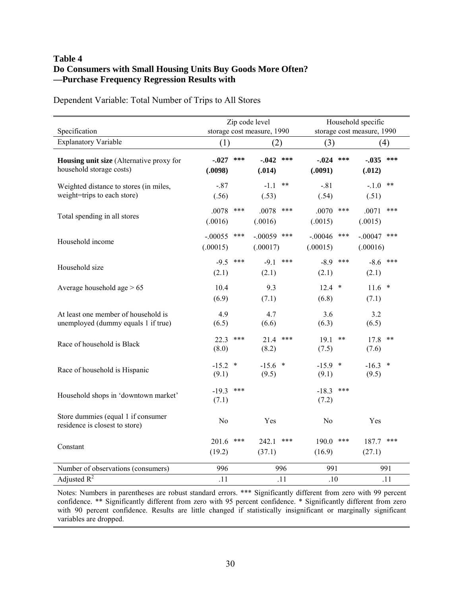### **Table 4 Do Consumers with Small Housing Units Buy Goods More Often? —Purchase Frequency Regression Results with**

|                                                                             |                       |     | Zip code level             |            | Household specific         |            |                           |               |  |
|-----------------------------------------------------------------------------|-----------------------|-----|----------------------------|------------|----------------------------|------------|---------------------------|---------------|--|
| Specification                                                               |                       |     | storage cost measure, 1990 |            | storage cost measure, 1990 |            |                           |               |  |
| <b>Explanatory Variable</b>                                                 | (1)                   |     | (2)                        |            | (3)                        |            | (4)                       |               |  |
| <b>Housing unit size</b> (Alternative proxy for<br>household storage costs) | $-.027$<br>(.0098)    | *** | $-0.042$<br>(.014)         | ***        | $-0.024$<br>(.0091)        | ***        | $-0.035$ ***<br>(.012)    |               |  |
| Weighted distance to stores (in miles,<br>weight=trips to each store)       | $-.87$<br>(.56)       |     | $-1.1$<br>(.53)            | $\ast\ast$ | $-.81$<br>(.54)            |            | $-.1.0$<br>(.51)          | $\ast$ $\ast$ |  |
| Total spending in all stores                                                | .0078<br>(.0016)      | *** | .0078<br>(.0016)           | $***$      | .0070<br>(.0015)           | ***        | .0071<br>(.0015)          | ***           |  |
| Household income                                                            | $-.00055$<br>(.00015) | *** | $-.00059$ ***<br>(.00017)  |            | $-.00046$<br>(.00015)      | ***        | $-.00047$ ***<br>(.00016) |               |  |
| Household size                                                              | $-9.5$<br>(2.1)       | *** | $-9.1$<br>(2.1)            | $***$      | $-8.9$<br>(2.1)            | ***        | $-8.6$<br>(2.1)           | ***           |  |
| Average household age $> 65$                                                | 10.4<br>(6.9)         |     | 9.3<br>(7.1)               |            | $12.4$ *<br>(6.8)          |            | $11.6$ *<br>(7.1)         |               |  |
| At least one member of household is<br>unemployed (dummy equals 1 if true)  | 4.9<br>(6.5)          |     | 4.7<br>(6.6)               |            | 3.6<br>(6.3)               |            | 3.2<br>(6.5)              |               |  |
| Race of household is Black                                                  | 22.3<br>(8.0)         | *** | 21.4<br>(8.2)              | ***        | 19.1<br>(7.5)              | $\ast\ast$ | 17.8<br>(7.6)             | $\ast\ast$    |  |
| Race of household is Hispanic                                               | $-15.2$ *<br>(9.1)    |     | $-15.6$ *<br>(9.5)         |            | $-15.9$ *<br>(9.1)         |            | $-16.3$ *<br>(9.5)        |               |  |
| Household shops in 'downtown market'                                        | $-19.3$<br>(7.1)      | *** |                            |            | $-18.3$<br>(7.2)           | ***        |                           |               |  |
| Store dummies (equal 1 if consumer<br>residence is closest to store)        | N <sub>o</sub>        |     | Yes                        |            | No                         |            | Yes                       |               |  |
| Constant                                                                    | 201.6<br>(19.2)       | *** | 242.1<br>(37.1)            | ***        | 190.0<br>(16.9)            | ***        | 187.7<br>(27.1)           | ***           |  |
| Number of observations (consumers)                                          | 996                   |     |                            | 996        | 991                        |            |                           | 991           |  |
| Adjusted $R^2$                                                              | .11                   |     |                            | .11        | .10                        |            |                           | .11           |  |

Dependent Variable: Total Number of Trips to All Stores

Notes: Numbers in parentheses are robust standard errors. \*\*\* Significantly different from zero with 99 percent confidence. \*\* Significantly different from zero with 95 percent confidence. \* Significantly different from zero with 90 percent confidence. Results are little changed if statistically insignificant or marginally significant variables are dropped.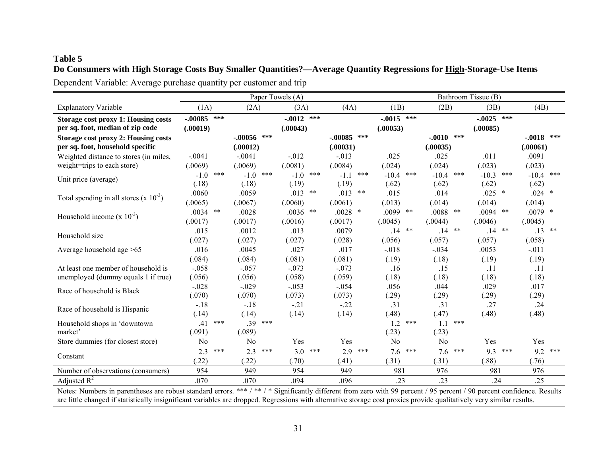### **Table 5 Do Consumers with High Storage Costs Buy Smaller Quantities?—Average Quantity Regressions for High-Storage-Use Items**

Dependent Variable: Average purchase quantity per customer and trip

|                                                                            |                              |                              | Paper Towels (A)             |                               | Bathroom Tissue (B)         |                             |                              |                          |  |  |
|----------------------------------------------------------------------------|------------------------------|------------------------------|------------------------------|-------------------------------|-----------------------------|-----------------------------|------------------------------|--------------------------|--|--|
| <b>Explanatory Variable</b>                                                | (1A)                         | (2A)                         | (3A)                         | (4A)                          | (1B)                        | (2B)                        | (3B)                         | (4B)                     |  |  |
| Storage cost proxy 1: Housing costs<br>per sq. foot, median of zip code    | $-.00085$<br>***<br>(.00019) |                              | ***<br>$-0.0012$<br>(.00043) |                               | $-0.015$<br>***<br>(.00053) |                             | $-0.0025$<br>***<br>(.00085) |                          |  |  |
| Storage cost proxy 2: Housing costs<br>per sq. foot, household specific    |                              | $-.00056$<br>***<br>(.00012) |                              | $-0.00085$<br>***<br>(.00031) |                             | ***<br>$-0.010$<br>(.00035) |                              | $-.0018$ ***<br>(.00061) |  |  |
| Weighted distance to stores (in miles,<br>weight=trips to each store)      | $-.0041$<br>(.0069)          | $-.0041$<br>(.0069)          | $-0.012$<br>(.0081)          | $-.013$<br>(.0084)            | .025<br>(.024)              | .025<br>(.024)              | .011<br>(.023)               | .0091<br>(.023)          |  |  |
| Unit price (average)                                                       | $***$<br>$-1.0$<br>(.18)     | $***$<br>$-1.0$<br>(.18)     | $***$<br>$-1.0$<br>(.19)     | ***<br>$-1.1$<br>(.19)        | $-10.4$ ***<br>(.62)        | $-10.4$ ***<br>(.62)        | $-10.3$ ***<br>(.62)         | $-10.4$ ***<br>(.62)     |  |  |
| Total spending in all stores $(x 10^{-3})$                                 | .0060<br>(.0065)             | .0059<br>(.0067)             | $.013$ **<br>(.0060)         | .013<br>* *<br>(.0061)        | .015<br>(.013)              | .014<br>(.014)              | $.025$ *<br>(.014)           | $.024$ *<br>(.014)       |  |  |
| Household income $(x 10^{-3})$                                             | $.0034$ **<br>(.0017)        | .0028<br>(.0017)             | $.0036$ **<br>(.0016)        | $.0028$ *<br>(.0017)          | $.0099$ **<br>(.0045)       | .0088<br>**<br>(.0044)      | $.0094$ **<br>(.0046)        | $.0079$ *<br>(.0045)     |  |  |
| Household size                                                             | .015<br>(.027)               | .0012<br>(.027)              | .013<br>(.027)               | .0079<br>(.028)               | $.14$ **<br>(.056)          | $.14$ **<br>(.057)          | $.14$ **<br>(.057)           | $.13$ **<br>(.058)       |  |  |
| Average household age >65                                                  | .016<br>(.084)               | .0045<br>(.084)              | .027<br>(.081)               | .017<br>(.081)                | $-.018$<br>(.19)            | $-.034$<br>(.18)            | .0053<br>(.19)               | $-.011$<br>(.19)         |  |  |
| At least one member of household is<br>unemployed (dummy equals 1 if true) | $-.058$<br>(.056)            | $-.057$<br>(.056)            | $-.073$<br>(.058)            | $-.073$<br>(.059)             | .16<br>(.18)                | .15<br>(.18)                | .11<br>(.18)                 | .11<br>(.18)             |  |  |
| Race of household is Black                                                 | $-.028$<br>(.070)            | $-.029$<br>(.070)            | $-.053$<br>(.073)            | $-.054$<br>(.073)             | .056<br>(.29)               | .044<br>(.29)               | .029<br>(.29)                | .017<br>(.29)            |  |  |
| Race of household is Hispanic                                              | $-.18$<br>(.14)              | $-.18$<br>(.14)              | $-21$<br>(.14)               | $-.22$<br>(.14)               | .31<br>(.48)                | .31<br>(.47)                | .27<br>(.48)                 | .24<br>(.48)             |  |  |
| Household shops in 'downtown<br>market'                                    | ***<br>.41<br>(.091)         | .39<br>$***$<br>(.089)       |                              |                               | ***<br>1.2<br>(.23)         | $***$<br>1.1<br>(.23)       |                              |                          |  |  |
| Store dummies (for closest store)                                          | No                           | N <sub>0</sub>               | Yes                          | Yes                           | N <sub>0</sub>              | No                          | Yes                          | Yes                      |  |  |
| Constant                                                                   | 2.3<br>***<br>(22)           | $***$<br>2.3<br>(.22)        | $***$<br>3.0<br>(.70)        | 2.9<br>***<br>(.41)           | ***<br>7.6<br>(.31)         | 7.6<br>***<br>(.31)         | 9.3<br>***<br>(.88)          | 9.2<br>***<br>(.76)      |  |  |
| Number of observations (consumers)                                         | 954                          | 949                          | 954                          | 949                           | 981                         | 976                         | 981                          | 976                      |  |  |
| Adjusted $R^2$                                                             | .070                         | .070                         | .094                         | .096                          | .23                         | .23                         | .24                          | .25                      |  |  |

Notes: Numbers in parentheses are robust standard errors. \*\*\* / \*\* / \* Significantly different from zero with 99 percent / 95 percent / 90 percent confidence. Results are little changed if statistically insignificant variables are dropped. Regressions with alternative storage cost proxies provide qualitatively very similar results.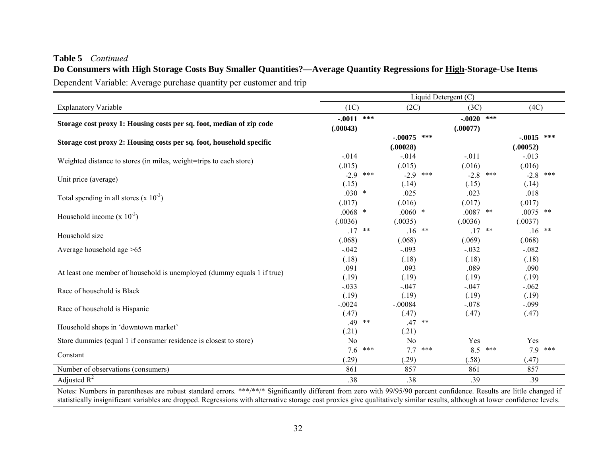**Table 5***—Continued*

### **Do Consumers with High Storage Costs Buy Smaller Quantities?—Average Quantity Regressions for High-Storage-Use Items**

|  |  | Dependent Variable: Average purchase quantity per customer and trip |
|--|--|---------------------------------------------------------------------|
|  |  |                                                                     |

|                                                                         | Liquid Detergent (C) |     |                       |     |                       |     |                       |     |
|-------------------------------------------------------------------------|----------------------|-----|-----------------------|-----|-----------------------|-----|-----------------------|-----|
| <b>Explanatory Variable</b>                                             | (1C)                 |     | (2C)                  |     | (3C)                  |     | (4C)                  |     |
| Storage cost proxy 1: Housing costs per sq. foot, median of zip code    | $-.0011$             | *** |                       |     | $-.0020$              | *** |                       |     |
|                                                                         | (.00043)             |     |                       |     | (.00077)              |     |                       |     |
| Storage cost proxy 2: Housing costs per sq. foot, household specific    |                      |     | $-.00075$<br>(.00028) | *** |                       |     | $-.0015$<br>(.00052)  | *** |
| Weighted distance to stores (in miles, weight=trips to each store)      | $-0.014$<br>(.015)   |     | $-.014$<br>(.015)     |     | $-.011$<br>(.016)     |     | $-.013$<br>(.016)     |     |
| Unit price (average)                                                    | $-2.9$<br>(.15)      | *** | $-2.9$<br>(.14)       | *** | $-2.8$<br>(.15)       | *** | $-2.8$<br>(.14)       | *** |
| Total spending in all stores $(x 10^{-3})$                              | $.030*$<br>(.017)    |     | .025<br>(.016)        |     | .023<br>(.017)        |     | .018<br>(.017)        |     |
| Household income $(x 10^{-3})$                                          | $.0068$ *<br>(.0036) |     | $.0060$ *<br>(.0035)  |     | $.0087$ **<br>(.0036) |     | $.0075$ **<br>(.0037) |     |
| Household size                                                          | .17<br>(.068)        | **  | $.16$ **<br>(.068)    |     | .17<br>(.069)         | **  | $.16$ **<br>(.068)    |     |
| Average household age >65                                               | $-.042$<br>(.18)     |     | $-.093$<br>(.18)      |     | $-.032$<br>(.18)      |     | $-.082$<br>(.18)      |     |
| At least one member of household is unemployed (dummy equals 1 if true) | .091<br>(.19)        |     | .093<br>(.19)         |     | .089<br>(.19)         |     | .090<br>(.19)         |     |
| Race of household is Black                                              | $-.033$<br>(.19)     |     | $-.047$<br>(.19)      |     | $-.047$<br>(.19)      |     | $-.062$<br>(.19)      |     |
| Race of household is Hispanic                                           | $-.0024$<br>(.47)    |     | $-.00084$<br>(.47)    |     | $-.078$<br>(.47)      |     | $-.099$<br>(.47)      |     |
| Household shops in 'downtown market'                                    | $.49$ **<br>(.21)    |     | $.47$ **<br>(.21)     |     |                       |     |                       |     |
| Store dummies (equal 1 if consumer residence is closest to store)       | N <sub>o</sub>       |     | N <sub>o</sub>        |     | Yes                   |     | Yes                   |     |
| Constant                                                                | 7.6<br>(.29)         | *** | 7.7<br>(.29)          | *** | 8.5<br>(.58)          | *** | 7.9<br>(.47)          | *** |
| Number of observations (consumers)                                      | 861                  |     | 857                   |     | 861                   |     | 857                   |     |
| Adjusted $R^2$                                                          | .38                  |     | .38                   |     | .39                   |     | .39                   |     |

Notes: Numbers in parentheses are robust standard errors. \*\*\*/\*\*/\* Significantly different from zero with 99/95/90 percent confidence. Results are little changed if statistically insignificant variables are dropped. Regressions with alternative storage cost proxies give qualitatively similar results, although at lower confidence levels.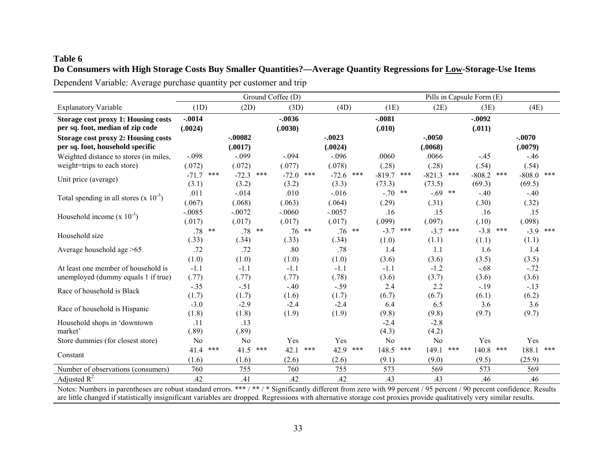## **Table 6 Do Consumers with High Storage Costs Buy Smaller Quantities?—Average Quantity Regressions for Low-Storage-Use Items**

Dependent Variable: Average purchase quantity per customer and trip

|                                                                                                                                                                                                                                                                                                                                                  |                         |                         | Ground Coffee (D)    |                           | Pills in Capsule Form (E) |                           |                        |                           |  |  |
|--------------------------------------------------------------------------------------------------------------------------------------------------------------------------------------------------------------------------------------------------------------------------------------------------------------------------------------------------|-------------------------|-------------------------|----------------------|---------------------------|---------------------------|---------------------------|------------------------|---------------------------|--|--|
| <b>Explanatory Variable</b>                                                                                                                                                                                                                                                                                                                      | (1D)                    | (2D)                    | (3D)                 | (4D)                      | (1E)                      | (2E)                      | (3E)                   | (4E)                      |  |  |
| Storage cost proxy 1: Housing costs<br>per sq. foot, median of zip code                                                                                                                                                                                                                                                                          | $-.0014$<br>(.0024)     |                         | $-.0036$<br>(.0030)  |                           | $-.0081$<br>(.010)        |                           | $-.0092$<br>(.011)     |                           |  |  |
| Storage cost proxy 2: Housing costs<br>per sq. foot, household specific                                                                                                                                                                                                                                                                          |                         | $-.00082$<br>(.0017)    |                      | $-.0023$<br>(.0024)       |                           | $-.0050$<br>(.0068)       |                        | $-.0070$<br>(.0079)       |  |  |
| Weighted distance to stores (in miles,                                                                                                                                                                                                                                                                                                           | $-.098$                 | $-.099$                 | $-.094$              | $-.096$                   | .0060                     | .0066                     | $-.45$                 | $-.46$                    |  |  |
| weight=trips to each store)                                                                                                                                                                                                                                                                                                                      | (.072)                  | (.072)                  | (.077)               | (.078)                    | (.28)                     | (.28)                     | (.54)                  | (.54)                     |  |  |
| Unit price (average)                                                                                                                                                                                                                                                                                                                             | $-71.7$<br>***<br>(3.1) | $-72.3$<br>***<br>(3.2) | $-72.0$ ***<br>(3.2) | $-72.6$<br>$***$<br>(3.3) | $-819.7$ ***<br>(73.3)    | $-821.3$<br>***<br>(73.5) | $-808.2$ ***<br>(69.3) | $-808.0$<br>***<br>(69.5) |  |  |
| Total spending in all stores $(x 10^{-3})$                                                                                                                                                                                                                                                                                                       | .011<br>(.067)          | $-.014$<br>(.068)       | .010<br>(.063)       | $-.016$<br>(.064)         | $-.70$ **<br>(.29)        | $-0.69$<br>$***$<br>(.31) | $-.40$<br>(.30)        | $-.40$<br>(.32)           |  |  |
| Household income $(x 10^{-3})$                                                                                                                                                                                                                                                                                                                   | $-.0085$<br>(.017)      | $-.0072$<br>(.017)      | $-.0060$<br>(.017)   | $-.0057$<br>(.017)        | .16<br>(.099)             | .15<br>(.097)             | .16<br>(.10)           | .15<br>(.098)             |  |  |
| Household size                                                                                                                                                                                                                                                                                                                                   | .78<br>$***$<br>(.33)   | $.78$ **<br>(.34)       | $.76$ **<br>(.33)    | $.76$ **<br>(.34)         | $-3.7$ ***<br>(1.0)       | $-3.7$<br>***<br>(1.1)    | $-3.8$<br>***<br>(1.1) | $-3.9$<br>***<br>(1.1)    |  |  |
| Average household age >65                                                                                                                                                                                                                                                                                                                        | .72                     | .72                     | .80                  | .78                       | 1.4                       | 1.1                       | 1.6                    | 1.4                       |  |  |
|                                                                                                                                                                                                                                                                                                                                                  | (1.0)                   | (1.0)                   | (1.0)                | (1.0)                     | (3.6)                     | (3.6)                     | (3.5)                  | (3.5)                     |  |  |
| At least one member of household is                                                                                                                                                                                                                                                                                                              | $-1.1$                  | $-1.1$                  | $-1.1$               | $-1.1$                    | $-1.1$                    | $-1.2$                    | $-.68$                 | $-.72$                    |  |  |
| unemployed (dummy equals 1 if true)                                                                                                                                                                                                                                                                                                              | (.77)                   | (.77)                   | (.77)                | (.78)                     | (3.6)                     | (3.7)                     | (3.6)                  | (3.6)                     |  |  |
| Race of household is Black                                                                                                                                                                                                                                                                                                                       | $-.35$<br>(1.7)         | $-.51$<br>(1.7)         | $-.40$<br>(1.6)      | $-.59$<br>(1.7)           | 2.4<br>(6.7)              | 2.2<br>(6.7)              | $-19$<br>(6.1)         | $-.13$<br>(6.2)           |  |  |
| Race of household is Hispanic                                                                                                                                                                                                                                                                                                                    | $-3.0$<br>(1.8)         | $-2.9$<br>(1.8)         | $-2.4$<br>(1.9)      | $-2.4$<br>(1.9)           | 6.4<br>(9.8)              | 6.5<br>(9.8)              | 3.6<br>(9.7)           | 3.6<br>(9.7)              |  |  |
| Household shops in 'downtown                                                                                                                                                                                                                                                                                                                     | .11                     | .13                     |                      |                           | $-2.4$                    | $-2.8$                    |                        |                           |  |  |
| market'                                                                                                                                                                                                                                                                                                                                          | (.89)                   | (.89)                   |                      |                           | (4.3)                     | (4.2)                     |                        |                           |  |  |
| Store dummies (for closest store)                                                                                                                                                                                                                                                                                                                | No                      | No                      | Yes                  | Yes                       | N <sub>o</sub>            | N <sub>0</sub>            | Yes                    | Yes                       |  |  |
| Constant                                                                                                                                                                                                                                                                                                                                         | $***$<br>41.4           | 41.5<br>***             | $***$<br>42.1        | 42.9<br>$***$             | 148.5<br>***              | 149.1<br>***              | 140.8<br>***           | 188.1<br>$***$            |  |  |
|                                                                                                                                                                                                                                                                                                                                                  | (1.6)                   | (1.6)                   | (2.6)                | (2.6)                     | (9.1)                     | (9.0)                     | (9.5)                  | (25.9)                    |  |  |
| Number of observations (consumers)                                                                                                                                                                                                                                                                                                               | 760                     | 755                     | 760                  | 755                       | 573                       | 569                       | 573                    | 569                       |  |  |
| Adjusted $R^2$                                                                                                                                                                                                                                                                                                                                   | .42                     | .41                     | .42                  | .42                       | .43                       | .43                       | .46                    | .46                       |  |  |
| Notes: Numbers in parentheses are robust standard errors. *** / ** / * Significantly different from zero with 99 percent / 95 percent / 90 percent confidence. Results<br>are little changed if statistically insignificant variables are dropped. Regressions with alternative storage cost proxies provide qualitatively very similar results. |                         |                         |                      |                           |                           |                           |                        |                           |  |  |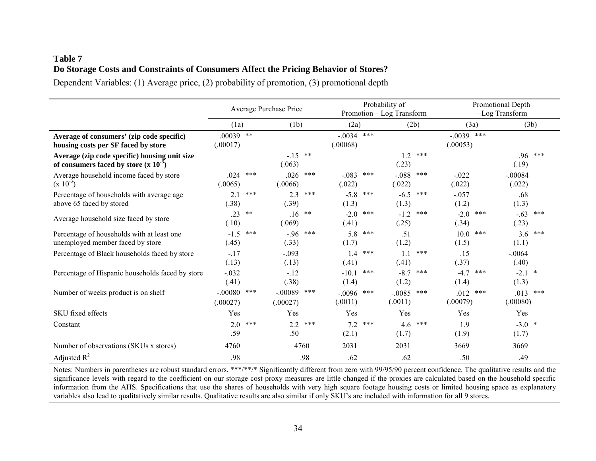## **Table 7 Do Storage Costs and Constraints of Consumers Affect the Pricing Behavior of Stores?**

Dependent Variables: (1) Average price, (2) probability of promotion, (3) promotional depth

|                                                                                            |                       | Average Purchase Price |                       |       |                      | Probability of<br>Promotion - Log Transform |                     |       |                      | Promotional Depth<br>$-Log$ Transform |                     |      |
|--------------------------------------------------------------------------------------------|-----------------------|------------------------|-----------------------|-------|----------------------|---------------------------------------------|---------------------|-------|----------------------|---------------------------------------|---------------------|------|
|                                                                                            | (1a)                  |                        | (1b)                  |       | (2a)                 |                                             |                     | (2b)  |                      | (3a)                                  |                     | (3b) |
| Average of consumers' (zip code specific)<br>housing costs per SF faced by store           | .00039<br>(.00017)    | $\star\star$           |                       |       | $-.0034$<br>(.00068) | ***                                         |                     |       | $-.0039$<br>(.00053) | ***                                   |                     |      |
| Average (zip code specific) housing unit size<br>of consumers faced by store $(x 10^{-3})$ |                       |                        | $-.15$<br>(.063)      | **    |                      |                                             | 1.2<br>(.23)        | ***   |                      |                                       | .96<br>(.19)        | ***  |
| Average household income faced by store<br>$(x 10^{-3})$                                   | .024<br>(.0065)       | $***$                  | .026<br>(.0066)       | ***   | $-.083$<br>(.022)    | ***                                         | $-.088$<br>(.022)   | $***$ | $-.022$<br>(.022)    |                                       | $-.00084$<br>(.022) |      |
| Percentage of households with average age<br>above 65 faced by stored                      | 2.1<br>(.38)          | $***$                  | 2.3<br>(.39)          | ***   | $-5.8$<br>(1.3)      | $***$                                       | $-6.5$<br>(1.3)     | ***   | $-.057$<br>(1.2)     |                                       | .68<br>(1.3)        |      |
| Average household size faced by store                                                      | .23<br>(.10)          | $\star$ $\star$        | .16<br>(.069)         | $***$ | $-2.0$<br>(.41)      | ***                                         | $-1.2$<br>(.25)     | $***$ | $-2.0$<br>(.34)      | ***                                   | $-.63$<br>(.23)     | ***  |
| Percentage of households with at least one<br>unemployed member faced by store             | $-1.5$<br>(.45)       | $***$                  | $-.96$<br>(.33)       | ***   | 5.8<br>(1.7)         | ***                                         | .51<br>(1.2)        |       | 10.0<br>(1.5)        | ***                                   | 3.6<br>(1.1)        | ***  |
| Percentage of Black households faced by store                                              | $-.17$<br>(.13)       |                        | $-.093$<br>(.13)      |       | 1.4<br>(.41)         | ***                                         | 1.1<br>(.41)        | ***   | .15<br>(.37)         |                                       | $-.0064$<br>(.40)   |      |
| Percentage of Hispanic households faced by store                                           | $-.032$<br>(.41)      |                        | $-12$<br>(.38)        |       | $-10.1$<br>(1.4)     | ***                                         | $-8.7$<br>(1.2)     | ***   | $-4.7$<br>(1.4)      | ***                                   | $-2.1$ *<br>(1.3)   |      |
| Number of weeks product is on shelf                                                        | $-.00080$<br>(.00027) | $***$                  | $-.00089$<br>(.00027) | ***   | $-.0096$<br>(.0011)  | $***$                                       | $-.0085$<br>(.0011) | $***$ | .012<br>(.00079)     | $***$                                 | .013<br>(.00080)    | ***  |
| SKU fixed effects                                                                          | Yes                   |                        | Yes                   |       | Yes                  |                                             | Yes                 |       | Yes                  |                                       | Yes                 |      |
| Constant                                                                                   | 2.0<br>.59            | $***$                  | 2.2<br>.50            | ***   | 7.2<br>(2.1)         | ***                                         | 4.6<br>(1.7)        | ***   | 1.9<br>(1.9)         |                                       | $-3.0$ *<br>(1.7)   |      |
| Number of observations (SKUs x stores)                                                     | 4760                  |                        |                       | 4760  | 2031                 |                                             | 2031                |       | 3669                 |                                       | 3669                |      |
| Adjusted $R^2$                                                                             | .98                   |                        |                       | .98   | .62                  |                                             | .62                 |       | .50                  |                                       | .49                 |      |

Notes: Numbers in parentheses are robust standard errors. \*\*\*/\*\*/\* Significantly different from zero with 99/95/90 percent confidence. The qualitative results and the significance levels with regard to the coefficient on our storage cost proxy measures are little changed if the proxies are calculated based on the household specific information from the AHS. Specifications that use the shares of households with very high square footage housing costs or limited housing space as explanatory variables also lead to qualitatively similar results. Qualitative results are also similar if only SKU's are included with information for all 9 stores.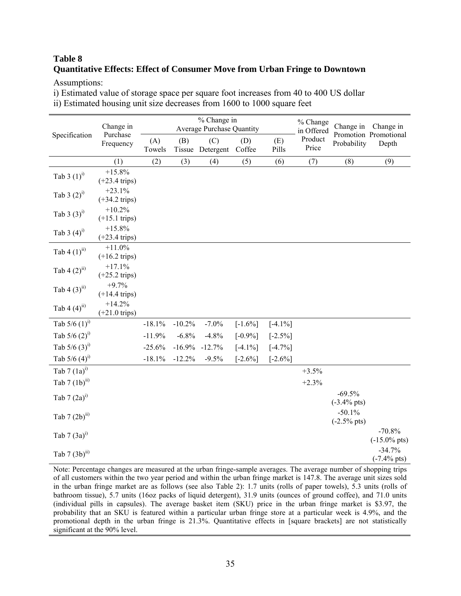### **Table 8 Quantitative Effects: Effect of Consumer Move from Urban Fringe to Downtown**

Assumptions:

i) Estimated value of storage space per square foot increases from 40 to 400 US dollar ii) Estimated housing unit size decreases from 1600 to 1000 square feet

% Change in Specification Purchase Theorem (A) Average Purchase Quantity<br>
Fraguency (A) (B) (C) (D) Change in Purchase Frequency Towels (B) Tissue Detergent (C) (D) Coffee (E) Pills % Change in Offered Product Price Change in Change in Promotion Promotional Probability Depth (1) (2) (3) (4) (5) (6) (7) (8) (9) Tab 3 (1)<sup>i</sup>  $\frac{+15.8\%}{(123.4 \text{ m})}$ (+23.4 trips) Tab 3 (2)<sup>i</sup>  $+23.1\%$ (+34.2 trips) Tab 3 (3)<sup>i</sup>  $\frac{+10.2\%}{(15.1\%)}$ (+15.1 trips) Tab 3 (4)<sup>i</sup>  $+15.8\%$ (+23.4 trips) Tab 4 (1)<sup>ii)</sup>  $\frac{+11.0\%}{(11.62 \times 1)^{11}}$ (+16.2 trips) Tab 4 (2)<sup>ii)</sup>  $\frac{+17.1\%}{(0.25.8 \times 10^{-11})}$ (+25.2 trips) Tab 4 (3)<sup>ii)</sup>  $+9.7\%$ (+14.4 trips) Tab 4 (4)<sup>ii)</sup>  $+14.2\%$ (+21.0 trips) Tab  $5/6$  (1)<sup>i</sup>  $-18.1\% -10.2\% -7.0\%$  [-1.6%] [-4.1%] Tab  $5/6$  (2)<sup>i</sup> -11.9% -6.8% -4.8% [-0.9%] [-2.5%] Tab  $5/6$  (3)<sup>i</sup> -25.6% -16.9% -12.7% [-4.1%] [-4.7%] Tab  $5/6$  (4)<sup>i</sup> -18.1% -12.2% -9.5% [-2.6%] [-2.6%] Tab 7  $(1a)^{i}$  +3.5% Tab 7  $(1b)^{ii}$  +2.3% Tab 7  $(2a)^{1}$  $-69.5\%$ (-3.4% pts)  $\frac{-50.1\%}{6.25\% \text{ m}}$  -50.1% (-2.5% pts) Tab  $7 (3a)^i$  $-70.8\%$ <br>(15.0%) (-15.0% pts)  $\text{Tab } 7 \text{ (3b)}^{\text{ii}}$   $\rightarrow$   $\text{34.7\%}$   $\rightarrow$   $\text{34.7\%}$   $\rightarrow$   $\text{34.7\%}$  $(-7.4\% \text{ pts})$ 

Note: Percentage changes are measured at the urban fringe-sample averages. The average number of shopping trips of all customers within the two year period and within the urban fringe market is 147.8. The average unit sizes sold in the urban fringe market are as follows (see also Table 2): 1.7 units (rolls of paper towels), 5.3 units (rolls of bathroom tissue), 5.7 units (16oz packs of liquid detergent), 31.9 units (ounces of ground coffee), and 71.0 units (individual pills in capsules). The average basket item (SKU) price in the urban fringe market is \$3.97, the probability that an SKU is featured within a particular urban fringe store at a particular week is 4.9%, and the promotional depth in the urban fringe is 21.3%. Quantitative effects in [square brackets] are not statistically significant at the 90% level.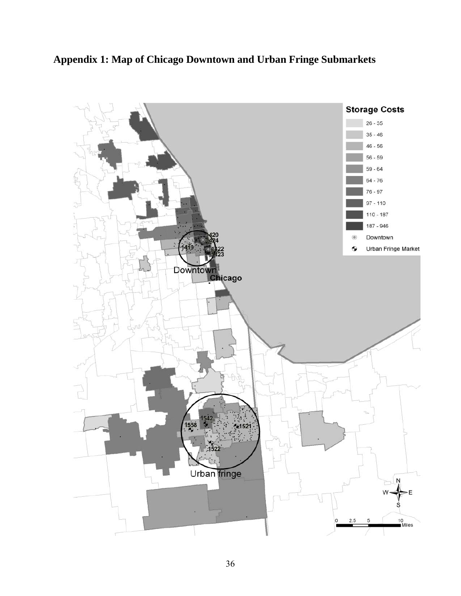# **Appendix 1: Map of Chicago Downtown and Urban Fringe Submarkets**

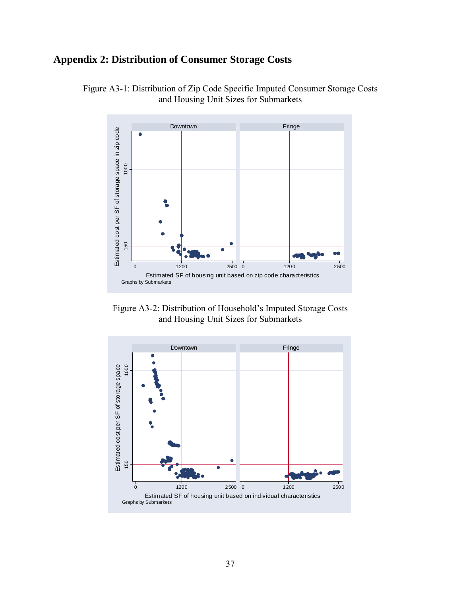# **Appendix 2: Distribution of Consumer Storage Costs**



Figure A3-1: Distribution of Zip Code Specific Imputed Consumer Storage Costs and Housing Unit Sizes for Submarkets

Figure A3-2: Distribution of Household's Imputed Storage Costs and Housing Unit Sizes for Submarkets

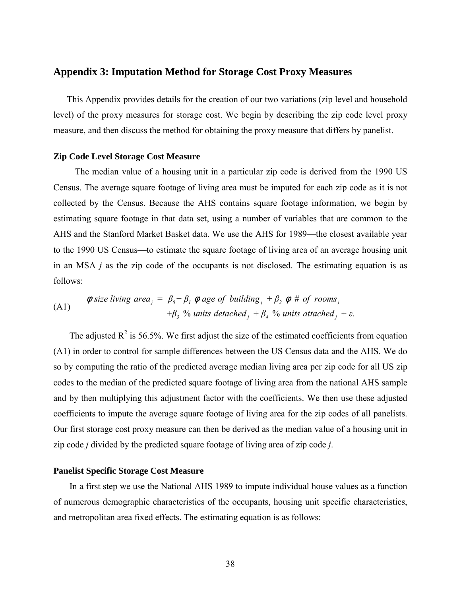### **Appendix 3: Imputation Method for Storage Cost Proxy Measures**

This Appendix provides details for the creation of our two variations (zip level and household level) of the proxy measures for storage cost. We begin by describing the zip code level proxy measure, and then discuss the method for obtaining the proxy measure that differs by panelist.

#### **Zip Code Level Storage Cost Measure**

 The median value of a housing unit in a particular zip code is derived from the 1990 US Census. The average square footage of living area must be imputed for each zip code as it is not collected by the Census. Because the AHS contains square footage information, we begin by estimating square footage in that data set, using a number of variables that are common to the AHS and the Stanford Market Basket data. We use the AHS for 1989—the closest available year to the 1990 US Census—to estimate the square footage of living area of an average housing unit in an MSA *j* as the zip code of the occupants is not disclosed. The estimating equation is as follows:

(A1)  $\phi$  size living area<sub>j</sub> =  $\beta_0 + \beta_1 \phi$  age of building<sub>j</sub> +  $\beta_2 \phi$  # of rooms<sub>j</sub>  $+\beta_3$  % units detached  $\beta_1 + \beta_4$  % units attached  $\beta_1 + \varepsilon$ .

The adjusted  $R^2$  is 56.5%. We first adjust the size of the estimated coefficients from equation (A1) in order to control for sample differences between the US Census data and the AHS. We do so by computing the ratio of the predicted average median living area per zip code for all US zip codes to the median of the predicted square footage of living area from the national AHS sample and by then multiplying this adjustment factor with the coefficients. We then use these adjusted coefficients to impute the average square footage of living area for the zip codes of all panelists. Our first storage cost proxy measure can then be derived as the median value of a housing unit in zip code *j* divided by the predicted square footage of living area of zip code *j*.

#### **Panelist Specific Storage Cost Measure**

In a first step we use the National AHS 1989 to impute individual house values as a function of numerous demographic characteristics of the occupants, housing unit specific characteristics, and metropolitan area fixed effects. The estimating equation is as follows: